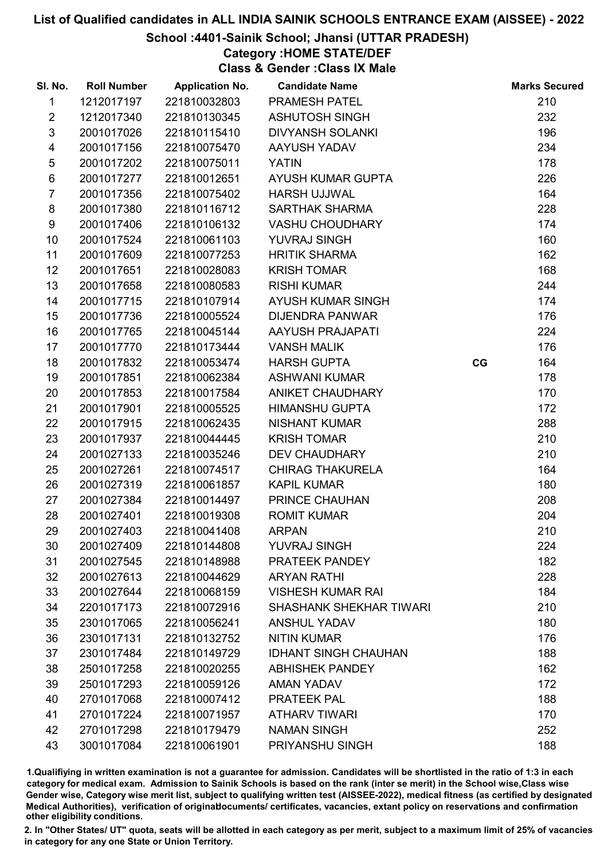# School :4401-Sainik School; Jhansi (UTTAR PRADESH)

# Category :HOME STATE/DEF

Class & Gender :Class IX Male

| SI. No.        | <b>Roll Number</b> | <b>Application No.</b> | <b>Candidate Name</b>          |    | <b>Marks Secured</b> |
|----------------|--------------------|------------------------|--------------------------------|----|----------------------|
| 1              | 1212017197         | 221810032803           | <b>PRAMESH PATEL</b>           |    | 210                  |
| $\overline{2}$ | 1212017340         | 221810130345           | <b>ASHUTOSH SINGH</b>          |    | 232                  |
| $\mathfrak{S}$ | 2001017026         | 221810115410           | <b>DIVYANSH SOLANKI</b>        |    | 196                  |
| 4              | 2001017156         | 221810075470           | AAYUSH YADAV                   |    | 234                  |
| $\sqrt{5}$     | 2001017202         | 221810075011           | <b>YATIN</b>                   |    | 178                  |
| $\,6$          | 2001017277         | 221810012651           | AYUSH KUMAR GUPTA              |    | 226                  |
| $\overline{7}$ | 2001017356         | 221810075402           | <b>HARSH UJJWAL</b>            |    | 164                  |
| 8              | 2001017380         | 221810116712           | <b>SARTHAK SHARMA</b>          |    | 228                  |
| 9              | 2001017406         | 221810106132           | <b>VASHU CHOUDHARY</b>         |    | 174                  |
| 10             | 2001017524         | 221810061103           | YUVRAJ SINGH                   |    | 160                  |
| 11             | 2001017609         | 221810077253           | <b>HRITIK SHARMA</b>           |    | 162                  |
| 12             | 2001017651         | 221810028083           | <b>KRISH TOMAR</b>             |    | 168                  |
| 13             | 2001017658         | 221810080583           | <b>RISHI KUMAR</b>             |    | 244                  |
| 14             | 2001017715         | 221810107914           | <b>AYUSH KUMAR SINGH</b>       |    | 174                  |
| 15             | 2001017736         | 221810005524           | <b>DIJENDRA PANWAR</b>         |    | 176                  |
| 16             | 2001017765         | 221810045144           | <b>AAYUSH PRAJAPATI</b>        |    | 224                  |
| 17             | 2001017770         | 221810173444           | <b>VANSH MALIK</b>             |    | 176                  |
| 18             | 2001017832         | 221810053474           | <b>HARSH GUPTA</b>             | CG | 164                  |
| 19             | 2001017851         | 221810062384           | <b>ASHWANI KUMAR</b>           |    | 178                  |
| 20             | 2001017853         | 221810017584           | ANIKET CHAUDHARY               |    | 170                  |
| 21             | 2001017901         | 221810005525           | <b>HIMANSHU GUPTA</b>          |    | 172                  |
| 22             | 2001017915         | 221810062435           | <b>NISHANT KUMAR</b>           |    | 288                  |
| 23             | 2001017937         | 221810044445           | <b>KRISH TOMAR</b>             |    | 210                  |
| 24             | 2001027133         | 221810035246           | <b>DEV CHAUDHARY</b>           |    | 210                  |
| 25             | 2001027261         | 221810074517           | <b>CHIRAG THAKURELA</b>        |    | 164                  |
| 26             | 2001027319         | 221810061857           | <b>KAPIL KUMAR</b>             |    | 180                  |
| 27             | 2001027384         | 221810014497           | PRINCE CHAUHAN                 |    | 208                  |
| 28             | 2001027401         | 221810019308           | <b>ROMIT KUMAR</b>             |    | 204                  |
| 29             | 2001027403         | 221810041408           | <b>ARPAN</b>                   |    | 210                  |
| 30             | 2001027409         | 221810144808           | <b>YUVRAJ SINGH</b>            |    | 224                  |
| 31             | 2001027545         | 221810148988           | PRATEEK PANDEY                 |    | 182                  |
| 32             | 2001027613         | 221810044629           | <b>ARYAN RATHI</b>             |    | 228                  |
| 33             | 2001027644         | 221810068159           | <b>VISHESH KUMAR RAI</b>       |    | 184                  |
| 34             | 2201017173         | 221810072916           | <b>SHASHANK SHEKHAR TIWARI</b> |    | 210                  |
| 35             | 2301017065         | 221810056241           | <b>ANSHUL YADAV</b>            |    | 180                  |
| 36             | 2301017131         | 221810132752           | <b>NITIN KUMAR</b>             |    | 176                  |
| 37             | 2301017484         | 221810149729           | <b>IDHANT SINGH CHAUHAN</b>    |    | 188                  |
| 38             | 2501017258         | 221810020255           | <b>ABHISHEK PANDEY</b>         |    | 162                  |
| 39             | 2501017293         | 221810059126           | <b>AMAN YADAV</b>              |    | 172                  |
| 40             | 2701017068         | 221810007412           | <b>PRATEEK PAL</b>             |    | 188                  |
| 41             | 2701017224         | 221810071957           | <b>ATHARV TIWARI</b>           |    | 170                  |
| 42             | 2701017298         | 221810179479           | <b>NAMAN SINGH</b>             |    | 252                  |
| 43             | 3001017084         | 221810061901           | PRIYANSHU SINGH                |    | 188                  |

1.Qualifiying in written examination is not a guarantee for admission. Candidates will be shortlisted in the ratio of 1:3 in each category for medical exam. Admission to Sainik Schools is based on the rank (inter se merit) in the School wise,Class wise Gender wise, Category wise merit list, subject to qualifying written test (AISSEE-2022), medical fitness (as certified by designated Medical Authorities), verification of originablocuments/ certificates, vacancies, extant policy on reservations and confirmation other eligibility conditions.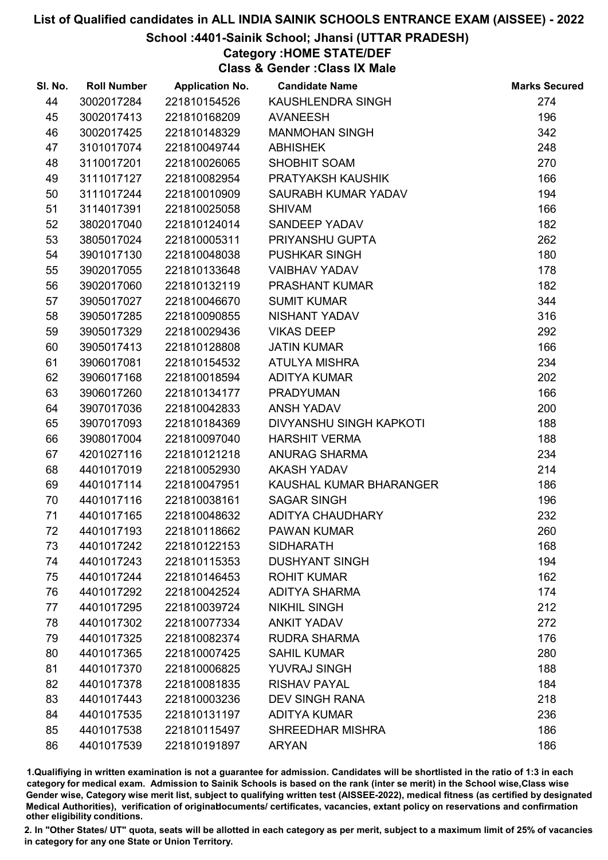# School :4401-Sainik School; Jhansi (UTTAR PRADESH)

# Category :HOME STATE/DEF

Class & Gender :Class IX Male

| SI. No. | <b>Roll Number</b> | <b>Application No.</b> | <b>Candidate Name</b>          | <b>Marks Secured</b> |
|---------|--------------------|------------------------|--------------------------------|----------------------|
| 44      | 3002017284         | 221810154526           | KAUSHLENDRA SINGH              | 274                  |
| 45      | 3002017413         | 221810168209           | <b>AVANEESH</b>                | 196                  |
| 46      | 3002017425         | 221810148329           | <b>MANMOHAN SINGH</b>          | 342                  |
| 47      | 3101017074         | 221810049744           | <b>ABHISHEK</b>                | 248                  |
| 48      | 3110017201         | 221810026065           | SHOBHIT SOAM                   | 270                  |
| 49      | 3111017127         | 221810082954           | PRATYAKSH KAUSHIK              | 166                  |
| 50      | 3111017244         | 221810010909           | SAURABH KUMAR YADAV            | 194                  |
| 51      | 3114017391         | 221810025058           | <b>SHIVAM</b>                  | 166                  |
| 52      | 3802017040         | 221810124014           | SANDEEP YADAV                  | 182                  |
| 53      | 3805017024         | 221810005311           | PRIYANSHU GUPTA                | 262                  |
| 54      | 3901017130         | 221810048038           | <b>PUSHKAR SINGH</b>           | 180                  |
| 55      | 3902017055         | 221810133648           | <b>VAIBHAV YADAV</b>           | 178                  |
| 56      | 3902017060         | 221810132119           | <b>PRASHANT KUMAR</b>          | 182                  |
| 57      | 3905017027         | 221810046670           | <b>SUMIT KUMAR</b>             | 344                  |
| 58      | 3905017285         | 221810090855           | NISHANT YADAV                  | 316                  |
| 59      | 3905017329         | 221810029436           | <b>VIKAS DEEP</b>              | 292                  |
| 60      | 3905017413         | 221810128808           | <b>JATIN KUMAR</b>             | 166                  |
| 61      | 3906017081         | 221810154532           | ATULYA MISHRA                  | 234                  |
| 62      | 3906017168         | 221810018594           | <b>ADITYA KUMAR</b>            | 202                  |
| 63      | 3906017260         | 221810134177           | <b>PRADYUMAN</b>               | 166                  |
| 64      | 3907017036         | 221810042833           | <b>ANSH YADAV</b>              | 200                  |
| 65      | 3907017093         | 221810184369           | <b>DIVYANSHU SINGH KAPKOTI</b> | 188                  |
| 66      | 3908017004         | 221810097040           | <b>HARSHIT VERMA</b>           | 188                  |
| 67      | 4201027116         | 221810121218           | <b>ANURAG SHARMA</b>           | 234                  |
| 68      | 4401017019         | 221810052930           | <b>AKASH YADAV</b>             | 214                  |
| 69      | 4401017114         | 221810047951           | KAUSHAL KUMAR BHARANGER        | 186                  |
| 70      | 4401017116         | 221810038161           | <b>SAGAR SINGH</b>             | 196                  |
| 71      | 4401017165         | 221810048632           | <b>ADITYA CHAUDHARY</b>        | 232                  |
| 72      | 4401017193         | 221810118662           | <b>PAWAN KUMAR</b>             | 260                  |
| 73      | 4401017242         | 221810122153           | <b>SIDHARATH</b>               | 168                  |
| 74      | 4401017243         | 221810115353           | <b>DUSHYANT SINGH</b>          | 194                  |
| 75      | 4401017244         | 221810146453           | <b>ROHIT KUMAR</b>             | 162                  |
| 76      | 4401017292         | 221810042524           | <b>ADITYA SHARMA</b>           | 174                  |
| 77      | 4401017295         | 221810039724           | <b>NIKHIL SINGH</b>            | 212                  |
| 78      | 4401017302         | 221810077334           | <b>ANKIT YADAV</b>             | 272                  |
| 79      | 4401017325         | 221810082374           | <b>RUDRA SHARMA</b>            | 176                  |
| 80      | 4401017365         | 221810007425           | <b>SAHIL KUMAR</b>             | 280                  |
| 81      | 4401017370         | 221810006825           | <b>YUVRAJ SINGH</b>            | 188                  |
| 82      | 4401017378         | 221810081835           | <b>RISHAV PAYAL</b>            | 184                  |
| 83      | 4401017443         | 221810003236           | <b>DEV SINGH RANA</b>          | 218                  |
| 84      | 4401017535         | 221810131197           | <b>ADITYA KUMAR</b>            | 236                  |
| 85      | 4401017538         | 221810115497           | SHREEDHAR MISHRA               | 186                  |
| 86      | 4401017539         | 221810191897           | <b>ARYAN</b>                   | 186                  |

1.Qualifiying in written examination is not a guarantee for admission. Candidates will be shortlisted in the ratio of 1:3 in each category for medical exam. Admission to Sainik Schools is based on the rank (inter se merit) in the School wise,Class wise Gender wise, Category wise merit list, subject to qualifying written test (AISSEE-2022), medical fitness (as certified by designated Medical Authorities), verification of originablocuments/ certificates, vacancies, extant policy on reservations and confirmation other eligibility conditions.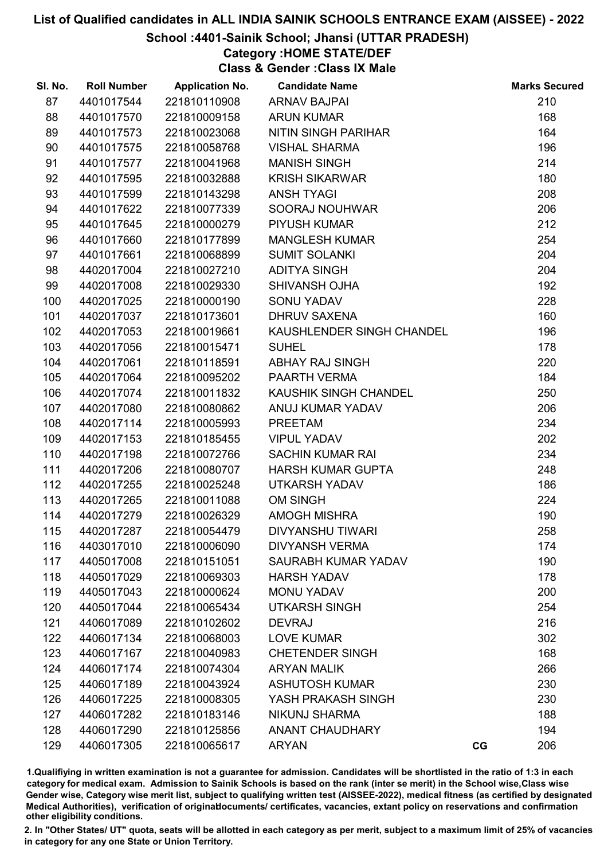## School :4401-Sainik School; Jhansi (UTTAR PRADESH)

# Category :HOME STATE/DEF

Class & Gender :Class IX Male

| SI. No. | <b>Roll Number</b> | <b>Application No.</b> | <b>Candidate Name</b>      |    | <b>Marks Secured</b> |
|---------|--------------------|------------------------|----------------------------|----|----------------------|
| 87      | 4401017544         | 221810110908           | <b>ARNAV BAJPAI</b>        |    | 210                  |
| 88      | 4401017570         | 221810009158           | <b>ARUN KUMAR</b>          |    | 168                  |
| 89      | 4401017573         | 221810023068           | <b>NITIN SINGH PARIHAR</b> |    | 164                  |
| 90      | 4401017575         | 221810058768           | <b>VISHAL SHARMA</b>       |    | 196                  |
| 91      | 4401017577         | 221810041968           | <b>MANISH SINGH</b>        |    | 214                  |
| 92      | 4401017595         | 221810032888           | <b>KRISH SIKARWAR</b>      |    | 180                  |
| 93      | 4401017599         | 221810143298           | <b>ANSH TYAGI</b>          |    | 208                  |
| 94      | 4401017622         | 221810077339           | SOORAJ NOUHWAR             |    | 206                  |
| 95      | 4401017645         | 221810000279           | <b>PIYUSH KUMAR</b>        |    | 212                  |
| 96      | 4401017660         | 221810177899           | <b>MANGLESH KUMAR</b>      |    | 254                  |
| 97      | 4401017661         | 221810068899           | <b>SUMIT SOLANKI</b>       |    | 204                  |
| 98      | 4402017004         | 221810027210           | <b>ADITYA SINGH</b>        |    | 204                  |
| 99      | 4402017008         | 221810029330           | <b>SHIVANSH OJHA</b>       |    | 192                  |
| 100     | 4402017025         | 221810000190           | <b>SONU YADAV</b>          |    | 228                  |
| 101     | 4402017037         | 221810173601           | <b>DHRUV SAXENA</b>        |    | 160                  |
| 102     | 4402017053         | 221810019661           | KAUSHLENDER SINGH CHANDEL  |    | 196                  |
| 103     | 4402017056         | 221810015471           | <b>SUHEL</b>               |    | 178                  |
| 104     | 4402017061         | 221810118591           | <b>ABHAY RAJ SINGH</b>     |    | 220                  |
| 105     | 4402017064         | 221810095202           | PAARTH VERMA               |    | 184                  |
| 106     | 4402017074         | 221810011832           | KAUSHIK SINGH CHANDEL      |    | 250                  |
| 107     | 4402017080         | 221810080862           | ANUJ KUMAR YADAV           |    | 206                  |
| 108     | 4402017114         | 221810005993           | <b>PREETAM</b>             |    | 234                  |
| 109     | 4402017153         | 221810185455           | <b>VIPUL YADAV</b>         |    | 202                  |
| 110     | 4402017198         | 221810072766           | <b>SACHIN KUMAR RAI</b>    |    | 234                  |
| 111     | 4402017206         | 221810080707           | <b>HARSH KUMAR GUPTA</b>   |    | 248                  |
| 112     | 4402017255         | 221810025248           | <b>UTKARSH YADAV</b>       |    | 186                  |
| 113     | 4402017265         | 221810011088           | <b>OM SINGH</b>            |    | 224                  |
| 114     | 4402017279         | 221810026329           | <b>AMOGH MISHRA</b>        |    | 190                  |
| 115     | 4402017287         | 221810054479           | <b>DIVYANSHU TIWARI</b>    |    | 258                  |
| 116     | 4403017010         | 221810006090           | <b>DIVYANSH VERMA</b>      |    | 174                  |
| 117     | 4405017008         | 221810151051           | <b>SAURABH KUMAR YADAV</b> |    | 190                  |
| 118     | 4405017029         | 221810069303           | <b>HARSH YADAV</b>         |    | 178                  |
| 119     | 4405017043         | 221810000624           | MONU YADAV                 |    | 200                  |
| 120     | 4405017044         | 221810065434           | <b>UTKARSH SINGH</b>       |    | 254                  |
| 121     | 4406017089         | 221810102602           | <b>DEVRAJ</b>              |    | 216                  |
| 122     | 4406017134         | 221810068003           | <b>LOVE KUMAR</b>          |    | 302                  |
| 123     | 4406017167         | 221810040983           | <b>CHETENDER SINGH</b>     |    | 168                  |
| 124     | 4406017174         | 221810074304           | <b>ARYAN MALIK</b>         |    | 266                  |
| 125     | 4406017189         | 221810043924           | <b>ASHUTOSH KUMAR</b>      |    | 230                  |
| 126     | 4406017225         | 221810008305           | YASH PRAKASH SINGH         |    | 230                  |
| 127     | 4406017282         | 221810183146           | NIKUNJ SHARMA              |    | 188                  |
| 128     | 4406017290         | 221810125856           | <b>ANANT CHAUDHARY</b>     |    | 194                  |
| 129     | 4406017305         | 221810065617           | <b>ARYAN</b>               | CG | 206                  |

1.Qualifiying in written examination is not a guarantee for admission. Candidates will be shortlisted in the ratio of 1:3 in each category for medical exam. Admission to Sainik Schools is based on the rank (inter se merit) in the School wise,Class wise Gender wise, Category wise merit list, subject to qualifying written test (AISSEE-2022), medical fitness (as certified by designated Medical Authorities), verification of originablocuments/ certificates, vacancies, extant policy on reservations and confirmation other eligibility conditions.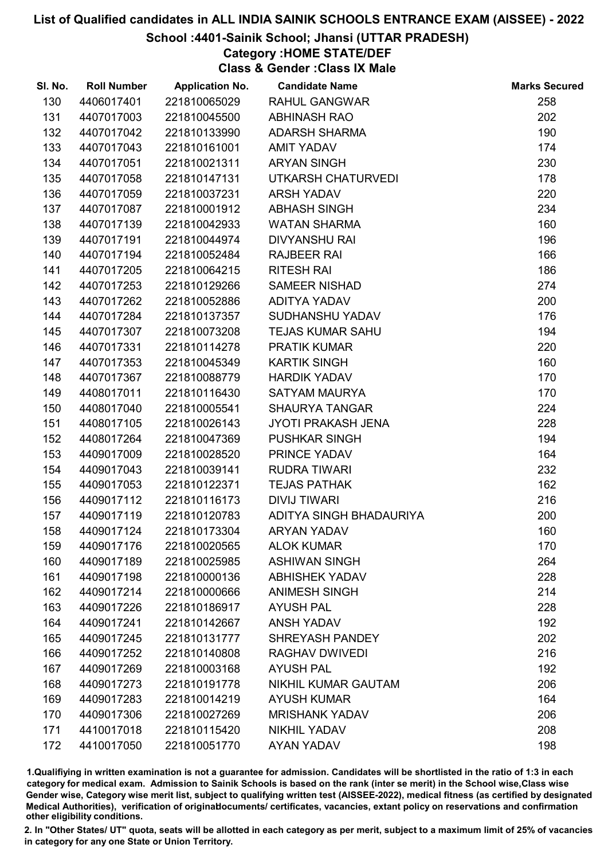# School :4401-Sainik School; Jhansi (UTTAR PRADESH)

# Category :HOME STATE/DEF

Class & Gender :Class IX Male

| SI. No. | <b>Roll Number</b> | <b>Application No.</b> | <b>Candidate Name</b>      | <b>Marks Secured</b> |
|---------|--------------------|------------------------|----------------------------|----------------------|
| 130     | 4406017401         | 221810065029           | <b>RAHUL GANGWAR</b>       | 258                  |
| 131     | 4407017003         | 221810045500           | <b>ABHINASH RAO</b>        | 202                  |
| 132     | 4407017042         | 221810133990           | <b>ADARSH SHARMA</b>       | 190                  |
| 133     | 4407017043         | 221810161001           | <b>AMIT YADAV</b>          | 174                  |
| 134     | 4407017051         | 221810021311           | <b>ARYAN SINGH</b>         | 230                  |
| 135     | 4407017058         | 221810147131           | UTKARSH CHATURVEDI         | 178                  |
| 136     | 4407017059         | 221810037231           | <b>ARSH YADAV</b>          | 220                  |
| 137     | 4407017087         | 221810001912           | <b>ABHASH SINGH</b>        | 234                  |
| 138     | 4407017139         | 221810042933           | <b>WATAN SHARMA</b>        | 160                  |
| 139     | 4407017191         | 221810044974           | <b>DIVYANSHU RAI</b>       | 196                  |
| 140     | 4407017194         | 221810052484           | <b>RAJBEER RAI</b>         | 166                  |
| 141     | 4407017205         | 221810064215           | <b>RITESH RAI</b>          | 186                  |
| 142     | 4407017253         | 221810129266           | <b>SAMEER NISHAD</b>       | 274                  |
| 143     | 4407017262         | 221810052886           | <b>ADITYA YADAV</b>        | 200                  |
| 144     | 4407017284         | 221810137357           | SUDHANSHU YADAV            | 176                  |
| 145     | 4407017307         | 221810073208           | <b>TEJAS KUMAR SAHU</b>    | 194                  |
| 146     | 4407017331         | 221810114278           | <b>PRATIK KUMAR</b>        | 220                  |
| 147     | 4407017353         | 221810045349           | <b>KARTIK SINGH</b>        | 160                  |
| 148     | 4407017367         | 221810088779           | <b>HARDIK YADAV</b>        | 170                  |
| 149     | 4408017011         | 221810116430           | <b>SATYAM MAURYA</b>       | 170                  |
| 150     | 4408017040         | 221810005541           | <b>SHAURYA TANGAR</b>      | 224                  |
| 151     | 4408017105         | 221810026143           | <b>JYOTI PRAKASH JENA</b>  | 228                  |
| 152     | 4408017264         | 221810047369           | <b>PUSHKAR SINGH</b>       | 194                  |
| 153     | 4409017009         | 221810028520           | PRINCE YADAV               | 164                  |
| 154     | 4409017043         | 221810039141           | <b>RUDRA TIWARI</b>        | 232                  |
| 155     | 4409017053         | 221810122371           | <b>TEJAS PATHAK</b>        | 162                  |
| 156     | 4409017112         | 221810116173           | <b>DIVIJ TIWARI</b>        | 216                  |
| 157     | 4409017119         | 221810120783           | ADITYA SINGH BHADAURIYA    | 200                  |
| 158     | 4409017124         | 221810173304           | <b>ARYAN YADAV</b>         | 160                  |
| 159     | 4409017176         | 221810020565           | <b>ALOK KUMAR</b>          | 170                  |
| 160     | 4409017189         | 221810025985           | <b>ASHIWAN SINGH</b>       | 264                  |
| 161     | 4409017198         | 221810000136           | <b>ABHISHEK YADAV</b>      | 228                  |
| 162     | 4409017214         | 221810000666           | <b>ANIMESH SINGH</b>       | 214                  |
| 163     | 4409017226         | 221810186917           | <b>AYUSH PAL</b>           | 228                  |
| 164     | 4409017241         | 221810142667           | <b>ANSH YADAV</b>          | 192                  |
| 165     | 4409017245         | 221810131777           | <b>SHREYASH PANDEY</b>     | 202                  |
| 166     | 4409017252         | 221810140808           | RAGHAV DWIVEDI             | 216                  |
| 167     | 4409017269         | 221810003168           | <b>AYUSH PAL</b>           | 192                  |
| 168     | 4409017273         | 221810191778           | <b>NIKHIL KUMAR GAUTAM</b> | 206                  |
| 169     | 4409017283         | 221810014219           | <b>AYUSH KUMAR</b>         | 164                  |
| 170     | 4409017306         | 221810027269           | <b>MRISHANK YADAV</b>      | 206                  |
| 171     | 4410017018         | 221810115420           | <b>NIKHIL YADAV</b>        | 208                  |
| 172     | 4410017050         | 221810051770           | AYAN YADAV                 | 198                  |

1.Qualifiying in written examination is not a guarantee for admission. Candidates will be shortlisted in the ratio of 1:3 in each category for medical exam. Admission to Sainik Schools is based on the rank (inter se merit) in the School wise,Class wise Gender wise, Category wise merit list, subject to qualifying written test (AISSEE-2022), medical fitness (as certified by designated Medical Authorities), verification of originablocuments/ certificates, vacancies, extant policy on reservations and confirmation other eligibility conditions.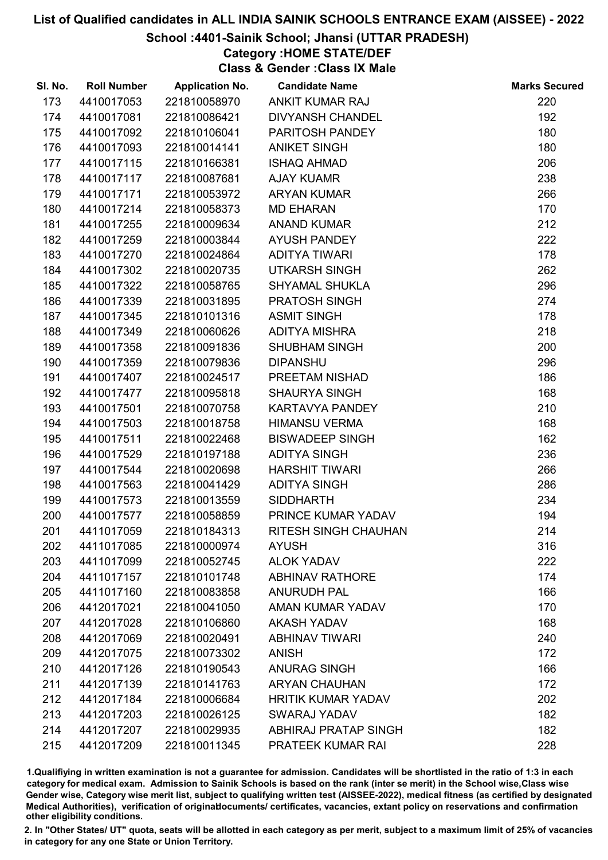# School :4401-Sainik School; Jhansi (UTTAR PRADESH)

Category :HOME STATE/DEF

Class & Gender :Class IX Male

| SI. No. | <b>Roll Number</b> | <b>Application No.</b> | <b>Candidate Name</b>       | <b>Marks Secured</b> |
|---------|--------------------|------------------------|-----------------------------|----------------------|
| 173     | 4410017053         | 221810058970           | ANKIT KUMAR RAJ             | 220                  |
| 174     | 4410017081         | 221810086421           | <b>DIVYANSH CHANDEL</b>     | 192                  |
| 175     | 4410017092         | 221810106041           | PARITOSH PANDEY             | 180                  |
| 176     | 4410017093         | 221810014141           | <b>ANIKET SINGH</b>         | 180                  |
| 177     | 4410017115         | 221810166381           | <b>ISHAQ AHMAD</b>          | 206                  |
| 178     | 4410017117         | 221810087681           | <b>AJAY KUAMR</b>           | 238                  |
| 179     | 4410017171         | 221810053972           | <b>ARYAN KUMAR</b>          | 266                  |
| 180     | 4410017214         | 221810058373           | <b>MD EHARAN</b>            | 170                  |
| 181     | 4410017255         | 221810009634           | <b>ANAND KUMAR</b>          | 212                  |
| 182     | 4410017259         | 221810003844           | <b>AYUSH PANDEY</b>         | 222                  |
| 183     | 4410017270         | 221810024864           | <b>ADITYA TIWARI</b>        | 178                  |
| 184     | 4410017302         | 221810020735           | <b>UTKARSH SINGH</b>        | 262                  |
| 185     | 4410017322         | 221810058765           | <b>SHYAMAL SHUKLA</b>       | 296                  |
| 186     | 4410017339         | 221810031895           | PRATOSH SINGH               | 274                  |
| 187     | 4410017345         | 221810101316           | <b>ASMIT SINGH</b>          | 178                  |
| 188     | 4410017349         | 221810060626           | <b>ADITYA MISHRA</b>        | 218                  |
| 189     | 4410017358         | 221810091836           | <b>SHUBHAM SINGH</b>        | 200                  |
| 190     | 4410017359         | 221810079836           | <b>DIPANSHU</b>             | 296                  |
| 191     | 4410017407         | 221810024517           | PREETAM NISHAD              | 186                  |
| 192     | 4410017477         | 221810095818           | <b>SHAURYA SINGH</b>        | 168                  |
| 193     | 4410017501         | 221810070758           | KARTAVYA PANDEY             | 210                  |
| 194     | 4410017503         | 221810018758           | <b>HIMANSU VERMA</b>        | 168                  |
| 195     | 4410017511         | 221810022468           | <b>BISWADEEP SINGH</b>      | 162                  |
| 196     | 4410017529         | 221810197188           | <b>ADITYA SINGH</b>         | 236                  |
| 197     | 4410017544         | 221810020698           | <b>HARSHIT TIWARI</b>       | 266                  |
| 198     | 4410017563         | 221810041429           | <b>ADITYA SINGH</b>         | 286                  |
| 199     | 4410017573         | 221810013559           | <b>SIDDHARTH</b>            | 234                  |
| 200     | 4410017577         | 221810058859           | PRINCE KUMAR YADAV          | 194                  |
| 201     | 4411017059         | 221810184313           | <b>RITESH SINGH CHAUHAN</b> | 214                  |
| 202     | 4411017085         | 221810000974           | <b>AYUSH</b>                | 316                  |
| 203     | 4411017099         | 221810052745           | <b>ALOK YADAV</b>           | 222                  |
| 204     | 4411017157         | 221810101748           | <b>ABHINAV RATHORE</b>      | 174                  |
| 205     | 4411017160         | 221810083858           | <b>ANURUDH PAL</b>          | 166                  |
| 206     | 4412017021         | 221810041050           | <b>AMAN KUMAR YADAV</b>     | 170                  |
| 207     | 4412017028         | 221810106860           | <b>AKASH YADAV</b>          | 168                  |
| 208     | 4412017069         | 221810020491           | <b>ABHINAV TIWARI</b>       | 240                  |
| 209     | 4412017075         | 221810073302           | <b>ANISH</b>                | 172                  |
| 210     | 4412017126         | 221810190543           | <b>ANURAG SINGH</b>         | 166                  |
| 211     | 4412017139         | 221810141763           | <b>ARYAN CHAUHAN</b>        | 172                  |
| 212     | 4412017184         | 221810006684           | <b>HRITIK KUMAR YADAV</b>   | 202                  |
| 213     | 4412017203         | 221810026125           | <b>SWARAJ YADAV</b>         | 182                  |
| 214     | 4412017207         | 221810029935           | <b>ABHIRAJ PRATAP SINGH</b> | 182                  |
| 215     | 4412017209         | 221810011345           | PRATEEK KUMAR RAI           | 228                  |

1.Qualifiying in written examination is not a guarantee for admission. Candidates will be shortlisted in the ratio of 1:3 in each category for medical exam. Admission to Sainik Schools is based on the rank (inter se merit) in the School wise,Class wise Gender wise, Category wise merit list, subject to qualifying written test (AISSEE-2022), medical fitness (as certified by designated Medical Authorities), verification of originablocuments/ certificates, vacancies, extant policy on reservations and confirmation other eligibility conditions.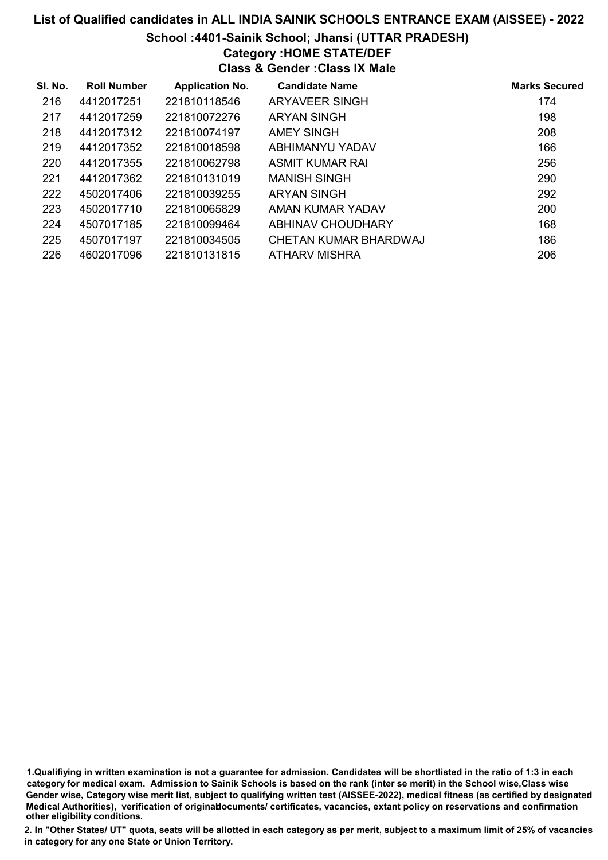# List of Qualified candidates in ALL INDIA SAINIK SCHOOLS ENTRANCE EXAM (AISSEE) - 2022 School :4401-Sainik School; Jhansi (UTTAR PRADESH) Category :HOME STATE/DEF Class & Gender :Class IX Male

| SI. No. | <b>Roll Number</b> | <b>Application No.</b> | <b>Candidate Name</b> | <b>Marks Secured</b> |
|---------|--------------------|------------------------|-----------------------|----------------------|
| 216     | 4412017251         | 221810118546           | ARYAVEER SINGH        | 174                  |
| 217     | 4412017259         | 221810072276           | <b>ARYAN SINGH</b>    | 198                  |
| 218     | 4412017312         | 221810074197           | AMEY SINGH            | 208                  |
| 219     | 4412017352         | 221810018598           | ABHIMANYU YADAV       | 166                  |
| 220     | 4412017355         | 221810062798           | ASMIT KUMAR RAI       | 256                  |
| 221     | 4412017362         | 221810131019           | <b>MANISH SINGH</b>   | 290                  |
| 222     | 4502017406         | 221810039255           | ARYAN SINGH           | 292                  |
| 223     | 4502017710         | 221810065829           | AMAN KUMAR YADAV      | 200                  |
| 224     | 4507017185         | 221810099464           | ABHINAV CHOUDHARY     | 168                  |
| 225     | 4507017197         | 221810034505           | CHETAN KUMAR BHARDWAJ | 186                  |
| 226     | 4602017096         | 221810131815           | ATHARV MISHRA         | 206                  |

1.Qualifiying in written examination is not a guarantee for admission. Candidates will be shortlisted in the ratio of 1:3 in each category for medical exam. Admission to Sainik Schools is based on the rank (inter se merit) in the School wise,Class wise Gender wise, Category wise merit list, subject to qualifying written test (AISSEE-2022), medical fitness (as certified by designated Medical Authorities), verification of originablocuments/ certificates, vacancies, extant policy on reservations and confirmation other eligibility conditions.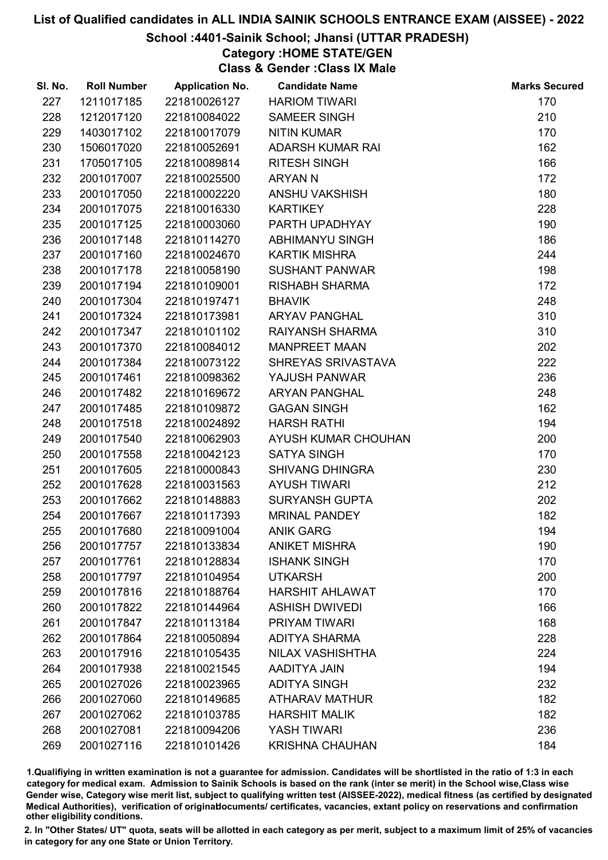## School :4401-Sainik School; Jhansi (UTTAR PRADESH)

# Category :HOME STATE/GEN

Class & Gender :Class IX Male

| SI. No. | <b>Roll Number</b> | <b>Application No.</b> | <b>Candidate Name</b>   | <b>Marks Secured</b> |
|---------|--------------------|------------------------|-------------------------|----------------------|
| 227     | 1211017185         | 221810026127           | <b>HARIOM TIWARI</b>    | 170                  |
| 228     | 1212017120         | 221810084022           | <b>SAMEER SINGH</b>     | 210                  |
| 229     | 1403017102         | 221810017079           | <b>NITIN KUMAR</b>      | 170                  |
| 230     | 1506017020         | 221810052691           | <b>ADARSH KUMAR RAI</b> | 162                  |
| 231     | 1705017105         | 221810089814           | <b>RITESH SINGH</b>     | 166                  |
| 232     | 2001017007         | 221810025500           | <b>ARYAN N</b>          | 172                  |
| 233     | 2001017050         | 221810002220           | <b>ANSHU VAKSHISH</b>   | 180                  |
| 234     | 2001017075         | 221810016330           | <b>KARTIKEY</b>         | 228                  |
| 235     | 2001017125         | 221810003060           | PARTH UPADHYAY          | 190                  |
| 236     | 2001017148         | 221810114270           | <b>ABHIMANYU SINGH</b>  | 186                  |
| 237     | 2001017160         | 221810024670           | <b>KARTIK MISHRA</b>    | 244                  |
| 238     | 2001017178         | 221810058190           | <b>SUSHANT PANWAR</b>   | 198                  |
| 239     | 2001017194         | 221810109001           | <b>RISHABH SHARMA</b>   | 172                  |
| 240     | 2001017304         | 221810197471           | <b>BHAVIK</b>           | 248                  |
| 241     | 2001017324         | 221810173981           | <b>ARYAV PANGHAL</b>    | 310                  |
| 242     | 2001017347         | 221810101102           | RAIYANSH SHARMA         | 310                  |
| 243     | 2001017370         | 221810084012           | <b>MANPREET MAAN</b>    | 202                  |
| 244     | 2001017384         | 221810073122           | SHREYAS SRIVASTAVA      | 222                  |
| 245     | 2001017461         | 221810098362           | YAJUSH PANWAR           | 236                  |
| 246     | 2001017482         | 221810169672           | <b>ARYAN PANGHAL</b>    | 248                  |
| 247     | 2001017485         | 221810109872           | <b>GAGAN SINGH</b>      | 162                  |
| 248     | 2001017518         | 221810024892           | <b>HARSH RATHI</b>      | 194                  |
| 249     | 2001017540         | 221810062903           | AYUSH KUMAR CHOUHAN     | 200                  |
| 250     | 2001017558         | 221810042123           | <b>SATYA SINGH</b>      | 170                  |
| 251     | 2001017605         | 221810000843           | <b>SHIVANG DHINGRA</b>  | 230                  |
| 252     | 2001017628         | 221810031563           | <b>AYUSH TIWARI</b>     | 212                  |
| 253     | 2001017662         | 221810148883           | <b>SURYANSH GUPTA</b>   | 202                  |
| 254     | 2001017667         | 221810117393           | <b>MRINAL PANDEY</b>    | 182                  |
| 255     | 2001017680         | 221810091004           | <b>ANIK GARG</b>        | 194                  |
| 256     | 2001017757         | 221810133834           | <b>ANIKET MISHRA</b>    | 190                  |
| 257     | 2001017761         | 221810128834           | <b>ISHANK SINGH</b>     | 170                  |
| 258     | 2001017797         | 221810104954           | <b>UTKARSH</b>          | 200                  |
| 259     | 2001017816         | 221810188764           | <b>HARSHIT AHLAWAT</b>  | 170                  |
| 260     | 2001017822         | 221810144964           | <b>ASHISH DWIVEDI</b>   | 166                  |
| 261     | 2001017847         | 221810113184           | PRIYAM TIWARI           | 168                  |
| 262     | 2001017864         | 221810050894           | <b>ADITYA SHARMA</b>    | 228                  |
| 263     | 2001017916         | 221810105435           | NILAX VASHISHTHA        | 224                  |
| 264     | 2001017938         | 221810021545           | AADITYA JAIN            | 194                  |
| 265     | 2001027026         | 221810023965           | <b>ADITYA SINGH</b>     | 232                  |
| 266     | 2001027060         | 221810149685           | <b>ATHARAV MATHUR</b>   | 182                  |
| 267     | 2001027062         | 221810103785           | <b>HARSHIT MALIK</b>    | 182                  |
| 268     | 2001027081         | 221810094206           | <b>YASH TIWARI</b>      | 236                  |
| 269     | 2001027116         | 221810101426           | <b>KRISHNA CHAUHAN</b>  | 184                  |

1.Qualifiying in written examination is not a guarantee for admission. Candidates will be shortlisted in the ratio of 1:3 in each category for medical exam. Admission to Sainik Schools is based on the rank (inter se merit) in the School wise,Class wise Gender wise, Category wise merit list, subject to qualifying written test (AISSEE-2022), medical fitness (as certified by designated Medical Authorities), verification of originablocuments/ certificates, vacancies, extant policy on reservations and confirmation other eligibility conditions.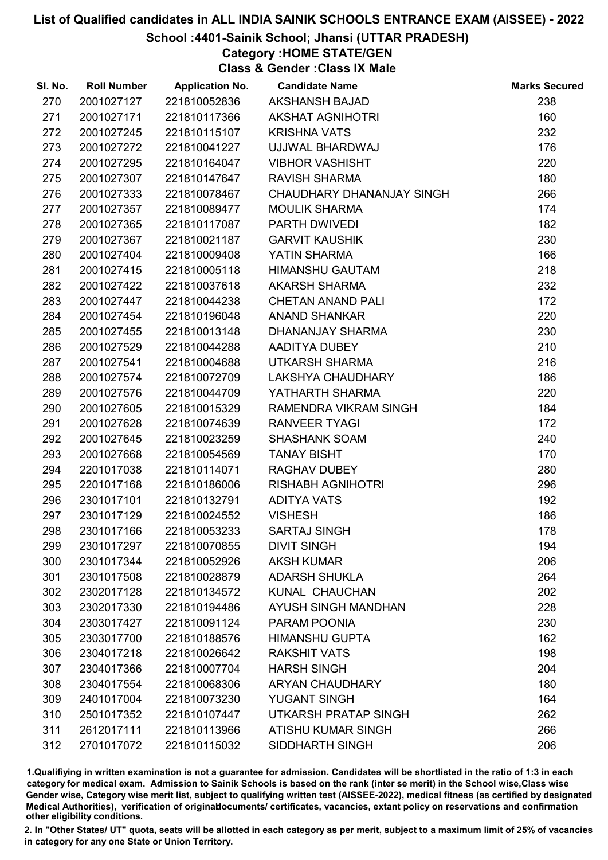# School :4401-Sainik School; Jhansi (UTTAR PRADESH)

Category :HOME STATE/GEN

Class & Gender :Class IX Male

| SI. No. | <b>Roll Number</b> | <b>Application No.</b> | <b>Candidate Name</b>      | <b>Marks Secured</b> |
|---------|--------------------|------------------------|----------------------------|----------------------|
| 270     | 2001027127         | 221810052836           | <b>AKSHANSH BAJAD</b>      | 238                  |
| 271     | 2001027171         | 221810117366           | <b>AKSHAT AGNIHOTRI</b>    | 160                  |
| 272     | 2001027245         | 221810115107           | <b>KRISHNA VATS</b>        | 232                  |
| 273     | 2001027272         | 221810041227           | UJJWAL BHARDWAJ            | 176                  |
| 274     | 2001027295         | 221810164047           | <b>VIBHOR VASHISHT</b>     | 220                  |
| 275     | 2001027307         | 221810147647           | <b>RAVISH SHARMA</b>       | 180                  |
| 276     | 2001027333         | 221810078467           | CHAUDHARY DHANANJAY SINGH  | 266                  |
| 277     | 2001027357         | 221810089477           | <b>MOULIK SHARMA</b>       | 174                  |
| 278     | 2001027365         | 221810117087           | PARTH DWIVEDI              | 182                  |
| 279     | 2001027367         | 221810021187           | <b>GARVIT KAUSHIK</b>      | 230                  |
| 280     | 2001027404         | 221810009408           | YATIN SHARMA               | 166                  |
| 281     | 2001027415         | 221810005118           | <b>HIMANSHU GAUTAM</b>     | 218                  |
| 282     | 2001027422         | 221810037618           | <b>AKARSH SHARMA</b>       | 232                  |
| 283     | 2001027447         | 221810044238           | <b>CHETAN ANAND PALI</b>   | 172                  |
| 284     | 2001027454         | 221810196048           | <b>ANAND SHANKAR</b>       | 220                  |
| 285     | 2001027455         | 221810013148           | DHANANJAY SHARMA           | 230                  |
| 286     | 2001027529         | 221810044288           | AADITYA DUBEY              | 210                  |
| 287     | 2001027541         | 221810004688           | <b>UTKARSH SHARMA</b>      | 216                  |
| 288     | 2001027574         | 221810072709           | LAKSHYA CHAUDHARY          | 186                  |
| 289     | 2001027576         | 221810044709           | YATHARTH SHARMA            | 220                  |
| 290     | 2001027605         | 221810015329           | RAMENDRA VIKRAM SINGH      | 184                  |
| 291     | 2001027628         | 221810074639           | <b>RANVEER TYAGI</b>       | 172                  |
| 292     | 2001027645         | 221810023259           | <b>SHASHANK SOAM</b>       | 240                  |
| 293     | 2001027668         | 221810054569           | <b>TANAY BISHT</b>         | 170                  |
| 294     | 2201017038         | 221810114071           | RAGHAV DUBEY               | 280                  |
| 295     | 2201017168         | 221810186006           | <b>RISHABH AGNIHOTRI</b>   | 296                  |
| 296     | 2301017101         | 221810132791           | <b>ADITYA VATS</b>         | 192                  |
| 297     | 2301017129         | 221810024552           | <b>VISHESH</b>             | 186                  |
| 298     | 2301017166         | 221810053233           | <b>SARTAJ SINGH</b>        | 178                  |
| 299     | 2301017297         | 221810070855           | <b>DIVIT SINGH</b>         | 194                  |
| 300     | 2301017344         | 221810052926           | <b>AKSH KUMAR</b>          | 206                  |
| 301     | 2301017508         | 221810028879           | <b>ADARSH SHUKLA</b>       | 264                  |
| 302     | 2302017128         | 221810134572           | KUNAL CHAUCHAN             | 202                  |
| 303     | 2302017330         | 221810194486           | <b>AYUSH SINGH MANDHAN</b> | 228                  |
| 304     | 2303017427         | 221810091124           | PARAM POONIA               | 230                  |
| 305     | 2303017700         | 221810188576           | <b>HIMANSHU GUPTA</b>      | 162                  |
| 306     | 2304017218         | 221810026642           | <b>RAKSHIT VATS</b>        | 198                  |
| 307     | 2304017366         | 221810007704           | <b>HARSH SINGH</b>         | 204                  |
| 308     | 2304017554         | 221810068306           | <b>ARYAN CHAUDHARY</b>     | 180                  |
| 309     | 2401017004         | 221810073230           | <b>YUGANT SINGH</b>        | 164                  |
| 310     | 2501017352         | 221810107447           | UTKARSH PRATAP SINGH       | 262                  |
| 311     | 2612017111         | 221810113966           | ATISHU KUMAR SINGH         | 266                  |
| 312     | 2701017072         | 221810115032           | SIDDHARTH SINGH            | 206                  |

1.Qualifiying in written examination is not a guarantee for admission. Candidates will be shortlisted in the ratio of 1:3 in each category for medical exam. Admission to Sainik Schools is based on the rank (inter se merit) in the School wise,Class wise Gender wise, Category wise merit list, subject to qualifying written test (AISSEE-2022), medical fitness (as certified by designated Medical Authorities), verification of originablocuments/ certificates, vacancies, extant policy on reservations and confirmation other eligibility conditions.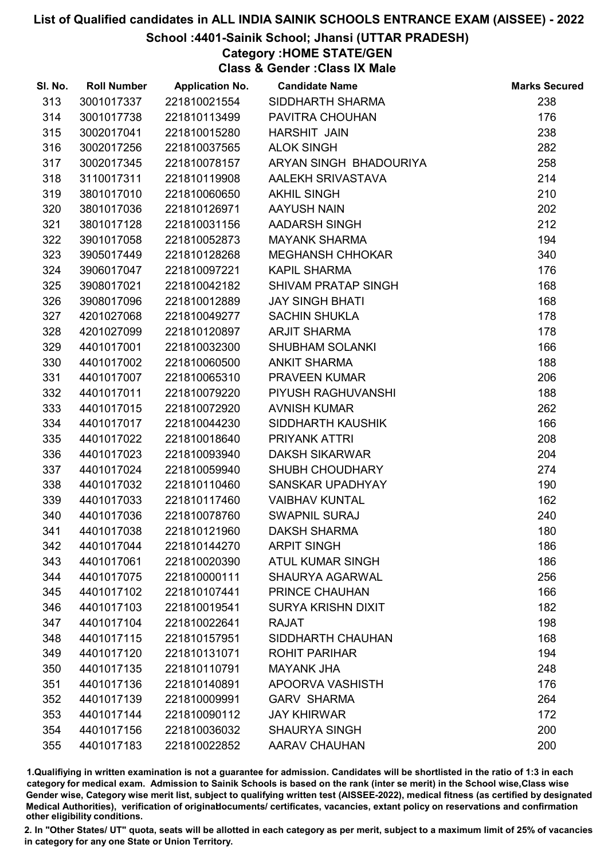# School :4401-Sainik School; Jhansi (UTTAR PRADESH)

Category :HOME STATE/GEN

Class & Gender :Class IX Male

| SI. No. | <b>Roll Number</b> | <b>Application No.</b> | <b>Candidate Name</b>      | <b>Marks Secured</b> |
|---------|--------------------|------------------------|----------------------------|----------------------|
| 313     | 3001017337         | 221810021554           | SIDDHARTH SHARMA           | 238                  |
| 314     | 3001017738         | 221810113499           | PAVITRA CHOUHAN            | 176                  |
| 315     | 3002017041         | 221810015280           | <b>HARSHIT JAIN</b>        | 238                  |
| 316     | 3002017256         | 221810037565           | <b>ALOK SINGH</b>          | 282                  |
| 317     | 3002017345         | 221810078157           | ARYAN SINGH BHADOURIYA     | 258                  |
| 318     | 3110017311         | 221810119908           | AALEKH SRIVASTAVA          | 214                  |
| 319     | 3801017010         | 221810060650           | <b>AKHIL SINGH</b>         | 210                  |
| 320     | 3801017036         | 221810126971           | <b>AAYUSH NAIN</b>         | 202                  |
| 321     | 3801017128         | 221810031156           | AADARSH SINGH              | 212                  |
| 322     | 3901017058         | 221810052873           | <b>MAYANK SHARMA</b>       | 194                  |
| 323     | 3905017449         | 221810128268           | <b>MEGHANSH CHHOKAR</b>    | 340                  |
| 324     | 3906017047         | 221810097221           | <b>KAPIL SHARMA</b>        | 176                  |
| 325     | 3908017021         | 221810042182           | <b>SHIVAM PRATAP SINGH</b> | 168                  |
| 326     | 3908017096         | 221810012889           | <b>JAY SINGH BHATI</b>     | 168                  |
| 327     | 4201027068         | 221810049277           | <b>SACHIN SHUKLA</b>       | 178                  |
| 328     | 4201027099         | 221810120897           | <b>ARJIT SHARMA</b>        | 178                  |
| 329     | 4401017001         | 221810032300           | <b>SHUBHAM SOLANKI</b>     | 166                  |
| 330     | 4401017002         | 221810060500           | <b>ANKIT SHARMA</b>        | 188                  |
| 331     | 4401017007         | 221810065310           | <b>PRAVEEN KUMAR</b>       | 206                  |
| 332     | 4401017011         | 221810079220           | PIYUSH RAGHUVANSHI         | 188                  |
| 333     | 4401017015         | 221810072920           | <b>AVNISH KUMAR</b>        | 262                  |
| 334     | 4401017017         | 221810044230           | SIDDHARTH KAUSHIK          | 166                  |
| 335     | 4401017022         | 221810018640           | PRIYANK ATTRI              | 208                  |
| 336     | 4401017023         | 221810093940           | <b>DAKSH SIKARWAR</b>      | 204                  |
| 337     | 4401017024         | 221810059940           | <b>SHUBH CHOUDHARY</b>     | 274                  |
| 338     | 4401017032         | 221810110460           | SANSKAR UPADHYAY           | 190                  |
| 339     | 4401017033         | 221810117460           | <b>VAIBHAV KUNTAL</b>      | 162                  |
| 340     | 4401017036         | 221810078760           | <b>SWAPNIL SURAJ</b>       | 240                  |
| 341     | 4401017038         | 221810121960           | <b>DAKSH SHARMA</b>        | 180                  |
| 342     | 4401017044         | 221810144270           | <b>ARPIT SINGH</b>         | 186                  |
| 343     | 4401017061         | 221810020390           | <b>ATUL KUMAR SINGH</b>    | 186                  |
| 344     | 4401017075         | 221810000111           | <b>SHAURYA AGARWAL</b>     | 256                  |
| 345     | 4401017102         | 221810107441           | PRINCE CHAUHAN             | 166                  |
| 346     | 4401017103         | 221810019541           | <b>SURYA KRISHN DIXIT</b>  | 182                  |
| 347     | 4401017104         | 221810022641           | <b>RAJAT</b>               | 198                  |
| 348     | 4401017115         | 221810157951           | SIDDHARTH CHAUHAN          | 168                  |
| 349     | 4401017120         | 221810131071           | <b>ROHIT PARIHAR</b>       | 194                  |
| 350     | 4401017135         | 221810110791           | <b>MAYANK JHA</b>          | 248                  |
| 351     | 4401017136         | 221810140891           | APOORVA VASHISTH           | 176                  |
| 352     | 4401017139         | 221810009991           | <b>GARV SHARMA</b>         | 264                  |
| 353     | 4401017144         | 221810090112           | <b>JAY KHIRWAR</b>         | 172                  |
| 354     | 4401017156         | 221810036032           | <b>SHAURYA SINGH</b>       | 200                  |
| 355     | 4401017183         | 221810022852           | <b>AARAV CHAUHAN</b>       | 200                  |

1.Qualifiying in written examination is not a guarantee for admission. Candidates will be shortlisted in the ratio of 1:3 in each category for medical exam. Admission to Sainik Schools is based on the rank (inter se merit) in the School wise,Class wise Gender wise, Category wise merit list, subject to qualifying written test (AISSEE-2022), medical fitness (as certified by designated Medical Authorities), verification of originablocuments/ certificates, vacancies, extant policy on reservations and confirmation other eligibility conditions.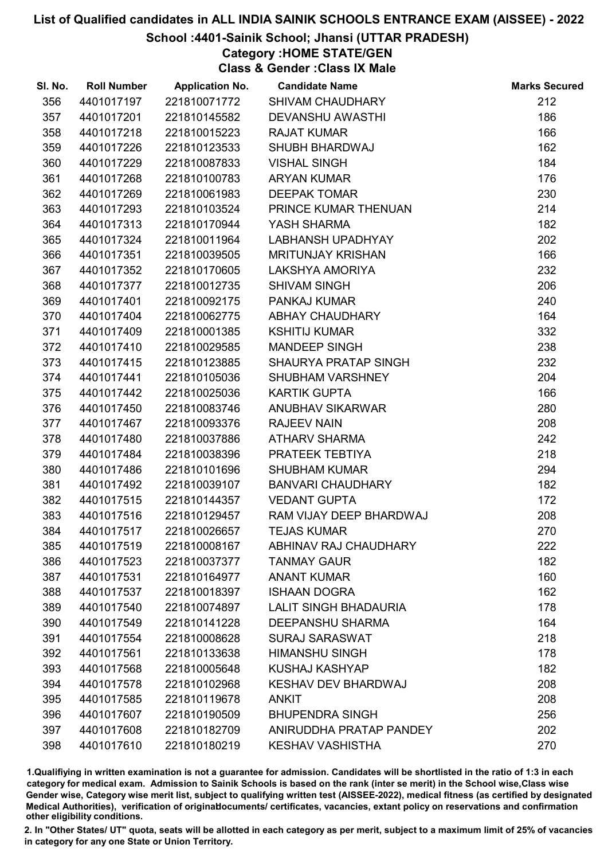# School :4401-Sainik School; Jhansi (UTTAR PRADESH)

Category :HOME STATE/GEN

Class & Gender :Class IX Male

| SI. No. | <b>Roll Number</b> | <b>Application No.</b> | <b>Candidate Name</b>        | <b>Marks Secured</b> |
|---------|--------------------|------------------------|------------------------------|----------------------|
| 356     | 4401017197         | 221810071772           | <b>SHIVAM CHAUDHARY</b>      | 212                  |
| 357     | 4401017201         | 221810145582           | <b>DEVANSHU AWASTHI</b>      | 186                  |
| 358     | 4401017218         | 221810015223           | <b>RAJAT KUMAR</b>           | 166                  |
| 359     | 4401017226         | 221810123533           | <b>SHUBH BHARDWAJ</b>        | 162                  |
| 360     | 4401017229         | 221810087833           | <b>VISHAL SINGH</b>          | 184                  |
| 361     | 4401017268         | 221810100783           | <b>ARYAN KUMAR</b>           | 176                  |
| 362     | 4401017269         | 221810061983           | <b>DEEPAK TOMAR</b>          | 230                  |
| 363     | 4401017293         | 221810103524           | PRINCE KUMAR THENUAN         | 214                  |
| 364     | 4401017313         | 221810170944           | YASH SHARMA                  | 182                  |
| 365     | 4401017324         | 221810011964           | <b>LABHANSH UPADHYAY</b>     | 202                  |
| 366     | 4401017351         | 221810039505           | <b>MRITUNJAY KRISHAN</b>     | 166                  |
| 367     | 4401017352         | 221810170605           | LAKSHYA AMORIYA              | 232                  |
| 368     | 4401017377         | 221810012735           | <b>SHIVAM SINGH</b>          | 206                  |
| 369     | 4401017401         | 221810092175           | PANKAJ KUMAR                 | 240                  |
| 370     | 4401017404         | 221810062775           | <b>ABHAY CHAUDHARY</b>       | 164                  |
| 371     | 4401017409         | 221810001385           | <b>KSHITIJ KUMAR</b>         | 332                  |
| 372     | 4401017410         | 221810029585           | <b>MANDEEP SINGH</b>         | 238                  |
| 373     | 4401017415         | 221810123885           | SHAURYA PRATAP SINGH         | 232                  |
| 374     | 4401017441         | 221810105036           | SHUBHAM VARSHNEY             | 204                  |
| 375     | 4401017442         | 221810025036           | <b>KARTIK GUPTA</b>          | 166                  |
| 376     | 4401017450         | 221810083746           | <b>ANUBHAV SIKARWAR</b>      | 280                  |
| 377     | 4401017467         | 221810093376           | <b>RAJEEV NAIN</b>           | 208                  |
| 378     | 4401017480         | 221810037886           | <b>ATHARV SHARMA</b>         | 242                  |
| 379     | 4401017484         | 221810038396           | PRATEEK TEBTIYA              | 218                  |
| 380     | 4401017486         | 221810101696           | <b>SHUBHAM KUMAR</b>         | 294                  |
| 381     | 4401017492         | 221810039107           | <b>BANVARI CHAUDHARY</b>     | 182                  |
| 382     | 4401017515         | 221810144357           | <b>VEDANT GUPTA</b>          | 172                  |
| 383     | 4401017516         | 221810129457           | RAM VIJAY DEEP BHARDWAJ      | 208                  |
| 384     | 4401017517         | 221810026657           | <b>TEJAS KUMAR</b>           | 270                  |
| 385     | 4401017519         | 221810008167           | <b>ABHINAV RAJ CHAUDHARY</b> | 222                  |
| 386     | 4401017523         | 221810037377           | <b>TANMAY GAUR</b>           | 182                  |
| 387     | 4401017531         | 221810164977           | <b>ANANT KUMAR</b>           | 160                  |
| 388     | 4401017537         | 221810018397           | <b>ISHAAN DOGRA</b>          | 162                  |
| 389     | 4401017540         | 221810074897           | <b>LALIT SINGH BHADAURIA</b> | 178                  |
| 390     | 4401017549         | 221810141228           | <b>DEEPANSHU SHARMA</b>      | 164                  |
| 391     | 4401017554         | 221810008628           | <b>SURAJ SARASWAT</b>        | 218                  |
| 392     | 4401017561         | 221810133638           | <b>HIMANSHU SINGH</b>        | 178                  |
| 393     | 4401017568         | 221810005648           | <b>KUSHAJ KASHYAP</b>        | 182                  |
| 394     | 4401017578         | 221810102968           | <b>KESHAV DEV BHARDWAJ</b>   | 208                  |
| 395     | 4401017585         | 221810119678           | <b>ANKIT</b>                 | 208                  |
| 396     | 4401017607         | 221810190509           | <b>BHUPENDRA SINGH</b>       | 256                  |
| 397     | 4401017608         | 221810182709           | ANIRUDDHA PRATAP PANDEY      | 202                  |
| 398     | 4401017610         | 221810180219           | <b>KESHAV VASHISTHA</b>      | 270                  |

1.Qualifiying in written examination is not a guarantee for admission. Candidates will be shortlisted in the ratio of 1:3 in each category for medical exam. Admission to Sainik Schools is based on the rank (inter se merit) in the School wise,Class wise Gender wise, Category wise merit list, subject to qualifying written test (AISSEE-2022), medical fitness (as certified by designated Medical Authorities), verification of originablocuments/ certificates, vacancies, extant policy on reservations and confirmation other eligibility conditions.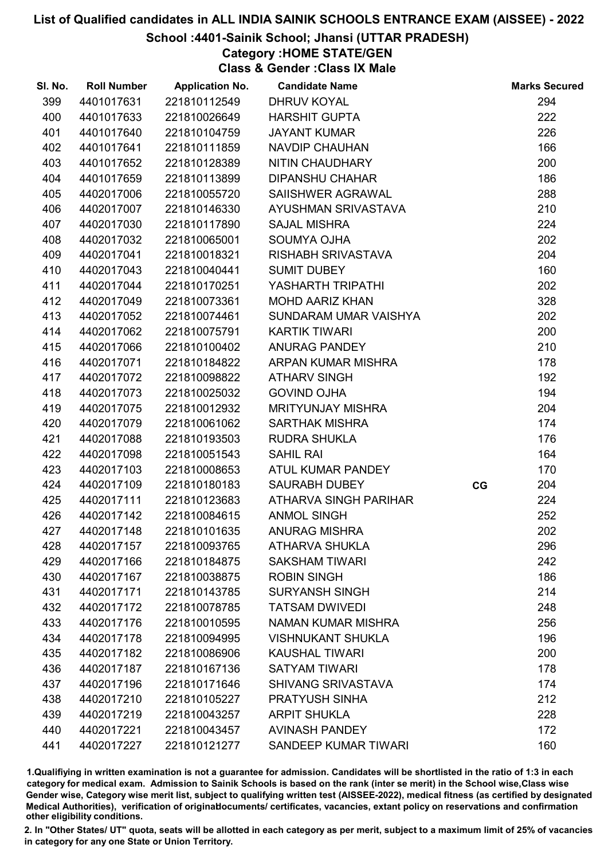## School :4401-Sainik School; Jhansi (UTTAR PRADESH)

Category :HOME STATE/GEN

Class & Gender :Class IX Male

| SI. No. | <b>Roll Number</b> | <b>Application No.</b> | <b>Candidate Name</b>     |    | <b>Marks Secured</b> |
|---------|--------------------|------------------------|---------------------------|----|----------------------|
| 399     | 4401017631         | 221810112549           | <b>DHRUV KOYAL</b>        |    | 294                  |
| 400     | 4401017633         | 221810026649           | <b>HARSHIT GUPTA</b>      |    | 222                  |
| 401     | 4401017640         | 221810104759           | <b>JAYANT KUMAR</b>       |    | 226                  |
| 402     | 4401017641         | 221810111859           | <b>NAVDIP CHAUHAN</b>     |    | 166                  |
| 403     | 4401017652         | 221810128389           | NITIN CHAUDHARY           |    | 200                  |
| 404     | 4401017659         | 221810113899           | <b>DIPANSHU CHAHAR</b>    |    | 186                  |
| 405     | 4402017006         | 221810055720           | SAIISHWER AGRAWAL         |    | 288                  |
| 406     | 4402017007         | 221810146330           | AYUSHMAN SRIVASTAVA       |    | 210                  |
| 407     | 4402017030         | 221810117890           | <b>SAJAL MISHRA</b>       |    | 224                  |
| 408     | 4402017032         | 221810065001           | <b>SOUMYA OJHA</b>        |    | 202                  |
| 409     | 4402017041         | 221810018321           | <b>RISHABH SRIVASTAVA</b> |    | 204                  |
| 410     | 4402017043         | 221810040441           | <b>SUMIT DUBEY</b>        |    | 160                  |
| 411     | 4402017044         | 221810170251           | YASHARTH TRIPATHI         |    | 202                  |
| 412     | 4402017049         | 221810073361           | <b>MOHD AARIZ KHAN</b>    |    | 328                  |
| 413     | 4402017052         | 221810074461           | SUNDARAM UMAR VAISHYA     |    | 202                  |
| 414     | 4402017062         | 221810075791           | <b>KARTIK TIWARI</b>      |    | 200                  |
| 415     | 4402017066         | 221810100402           | <b>ANURAG PANDEY</b>      |    | 210                  |
| 416     | 4402017071         | 221810184822           | ARPAN KUMAR MISHRA        |    | 178                  |
| 417     | 4402017072         | 221810098822           | <b>ATHARV SINGH</b>       |    | 192                  |
| 418     | 4402017073         | 221810025032           | <b>GOVIND OJHA</b>        |    | 194                  |
| 419     | 4402017075         | 221810012932           | <b>MRITYUNJAY MISHRA</b>  |    | 204                  |
| 420     | 4402017079         | 221810061062           | <b>SARTHAK MISHRA</b>     |    | 174                  |
| 421     | 4402017088         | 221810193503           | <b>RUDRA SHUKLA</b>       |    | 176                  |
| 422     | 4402017098         | 221810051543           | <b>SAHIL RAI</b>          |    | 164                  |
| 423     | 4402017103         | 221810008653           | ATUL KUMAR PANDEY         |    | 170                  |
| 424     | 4402017109         | 221810180183           | <b>SAURABH DUBEY</b>      | CG | 204                  |
| 425     | 4402017111         | 221810123683           | ATHARVA SINGH PARIHAR     |    | 224                  |
| 426     | 4402017142         | 221810084615           | <b>ANMOL SINGH</b>        |    | 252                  |
| 427     | 4402017148         | 221810101635           | <b>ANURAG MISHRA</b>      |    | 202                  |
| 428     | 4402017157         | 221810093765           | <b>ATHARVA SHUKLA</b>     |    | 296                  |
| 429     | 4402017166         | 221810184875           | <b>SAKSHAM TIWARI</b>     |    | 242                  |
| 430     | 4402017167         | 221810038875           | <b>ROBIN SINGH</b>        |    | 186                  |
| 431     | 4402017171         | 221810143785           | <b>SURYANSH SINGH</b>     |    | 214                  |
| 432     | 4402017172         | 221810078785           | <b>TATSAM DWIVEDI</b>     |    | 248                  |
| 433     | 4402017176         | 221810010595           | NAMAN KUMAR MISHRA        |    | 256                  |
| 434     | 4402017178         | 221810094995           | <b>VISHNUKANT SHUKLA</b>  |    | 196                  |
| 435     | 4402017182         | 221810086906           | <b>KAUSHAL TIWARI</b>     |    | 200                  |
| 436     | 4402017187         | 221810167136           | <b>SATYAM TIWARI</b>      |    | 178                  |
| 437     | 4402017196         | 221810171646           | <b>SHIVANG SRIVASTAVA</b> |    | 174                  |
| 438     | 4402017210         | 221810105227           | <b>PRATYUSH SINHA</b>     |    | 212                  |
| 439     | 4402017219         | 221810043257           | <b>ARPIT SHUKLA</b>       |    | 228                  |
| 440     | 4402017221         | 221810043457           | <b>AVINASH PANDEY</b>     |    | 172                  |
| 441     | 4402017227         | 221810121277           | SANDEEP KUMAR TIWARI      |    | 160                  |

1.Qualifiying in written examination is not a guarantee for admission. Candidates will be shortlisted in the ratio of 1:3 in each category for medical exam. Admission to Sainik Schools is based on the rank (inter se merit) in the School wise,Class wise Gender wise, Category wise merit list, subject to qualifying written test (AISSEE-2022), medical fitness (as certified by designated Medical Authorities), verification of originablocuments/ certificates, vacancies, extant policy on reservations and confirmation other eligibility conditions.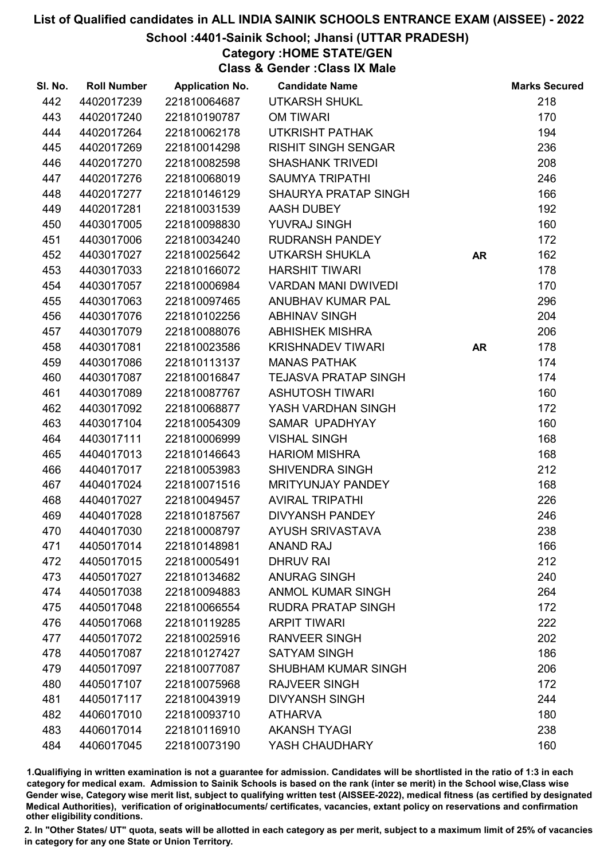## School :4401-Sainik School; Jhansi (UTTAR PRADESH)

Category :HOME STATE/GEN

Class & Gender :Class IX Male

| SI. No. | <b>Roll Number</b> | <b>Application No.</b> | <b>Candidate Name</b>       |           | <b>Marks Secured</b> |
|---------|--------------------|------------------------|-----------------------------|-----------|----------------------|
| 442     | 4402017239         | 221810064687           | <b>UTKARSH SHUKL</b>        |           | 218                  |
| 443     | 4402017240         | 221810190787           | <b>OM TIWARI</b>            |           | 170                  |
| 444     | 4402017264         | 221810062178           | <b>UTKRISHT PATHAK</b>      |           | 194                  |
| 445     | 4402017269         | 221810014298           | <b>RISHIT SINGH SENGAR</b>  |           | 236                  |
| 446     | 4402017270         | 221810082598           | <b>SHASHANK TRIVEDI</b>     |           | 208                  |
| 447     | 4402017276         | 221810068019           | <b>SAUMYA TRIPATHI</b>      |           | 246                  |
| 448     | 4402017277         | 221810146129           | <b>SHAURYA PRATAP SINGH</b> |           | 166                  |
| 449     | 4402017281         | 221810031539           | AASH DUBEY                  |           | 192                  |
| 450     | 4403017005         | 221810098830           | <b>YUVRAJ SINGH</b>         |           | 160                  |
| 451     | 4403017006         | 221810034240           | <b>RUDRANSH PANDEY</b>      |           | 172                  |
| 452     | 4403017027         | 221810025642           | <b>UTKARSH SHUKLA</b>       | <b>AR</b> | 162                  |
| 453     | 4403017033         | 221810166072           | <b>HARSHIT TIWARI</b>       |           | 178                  |
| 454     | 4403017057         | 221810006984           | <b>VARDAN MANI DWIVEDI</b>  |           | 170                  |
| 455     | 4403017063         | 221810097465           | ANUBHAV KUMAR PAL           |           | 296                  |
| 456     | 4403017076         | 221810102256           | <b>ABHINAV SINGH</b>        |           | 204                  |
| 457     | 4403017079         | 221810088076           | <b>ABHISHEK MISHRA</b>      |           | 206                  |
| 458     | 4403017081         | 221810023586           | <b>KRISHNADEV TIWARI</b>    | <b>AR</b> | 178                  |
| 459     | 4403017086         | 221810113137           | <b>MANAS PATHAK</b>         |           | 174                  |
| 460     | 4403017087         | 221810016847           | <b>TEJASVA PRATAP SINGH</b> |           | 174                  |
| 461     | 4403017089         | 221810087767           | <b>ASHUTOSH TIWARI</b>      |           | 160                  |
| 462     | 4403017092         | 221810068877           | YASH VARDHAN SINGH          |           | 172                  |
| 463     | 4403017104         | 221810054309           | SAMAR UPADHYAY              |           | 160                  |
| 464     | 4403017111         | 221810006999           | <b>VISHAL SINGH</b>         |           | 168                  |
| 465     | 4404017013         | 221810146643           | <b>HARIOM MISHRA</b>        |           | 168                  |
| 466     | 4404017017         | 221810053983           | SHIVENDRA SINGH             |           | 212                  |
| 467     | 4404017024         | 221810071516           | MRITYUNJAY PANDEY           |           | 168                  |
| 468     | 4404017027         | 221810049457           | <b>AVIRAL TRIPATHI</b>      |           | 226                  |
| 469     | 4404017028         | 221810187567           | DIVYANSH PANDEY             |           | 246                  |
| 470     | 4404017030         | 221810008797           | <b>AYUSH SRIVASTAVA</b>     |           | 238                  |
| 471     | 4405017014         | 221810148981           | <b>ANAND RAJ</b>            |           | 166                  |
| 472     | 4405017015         | 221810005491           | <b>DHRUV RAI</b>            |           | 212                  |
| 473     | 4405017027         | 221810134682           | <b>ANURAG SINGH</b>         |           | 240                  |
| 474     | 4405017038         | 221810094883           | <b>ANMOL KUMAR SINGH</b>    |           | 264                  |
| 475     | 4405017048         | 221810066554           | <b>RUDRA PRATAP SINGH</b>   |           | 172                  |
| 476     | 4405017068         | 221810119285           | <b>ARPIT TIWARI</b>         |           | 222                  |
| 477     | 4405017072         | 221810025916           | <b>RANVEER SINGH</b>        |           | 202                  |
| 478     | 4405017087         | 221810127427           | <b>SATYAM SINGH</b>         |           | 186                  |
| 479     | 4405017097         | 221810077087           | <b>SHUBHAM KUMAR SINGH</b>  |           | 206                  |
| 480     | 4405017107         | 221810075968           | <b>RAJVEER SINGH</b>        |           | 172                  |
| 481     | 4405017117         | 221810043919           | <b>DIVYANSH SINGH</b>       |           | 244                  |
| 482     | 4406017010         | 221810093710           | <b>ATHARVA</b>              |           | 180                  |
| 483     | 4406017014         | 221810116910           | <b>AKANSH TYAGI</b>         |           | 238                  |
| 484     | 4406017045         | 221810073190           | YASH CHAUDHARY              |           | 160                  |

1.Qualifiying in written examination is not a guarantee for admission. Candidates will be shortlisted in the ratio of 1:3 in each category for medical exam. Admission to Sainik Schools is based on the rank (inter se merit) in the School wise,Class wise Gender wise, Category wise merit list, subject to qualifying written test (AISSEE-2022), medical fitness (as certified by designated Medical Authorities), verification of originablocuments/ certificates, vacancies, extant policy on reservations and confirmation other eligibility conditions.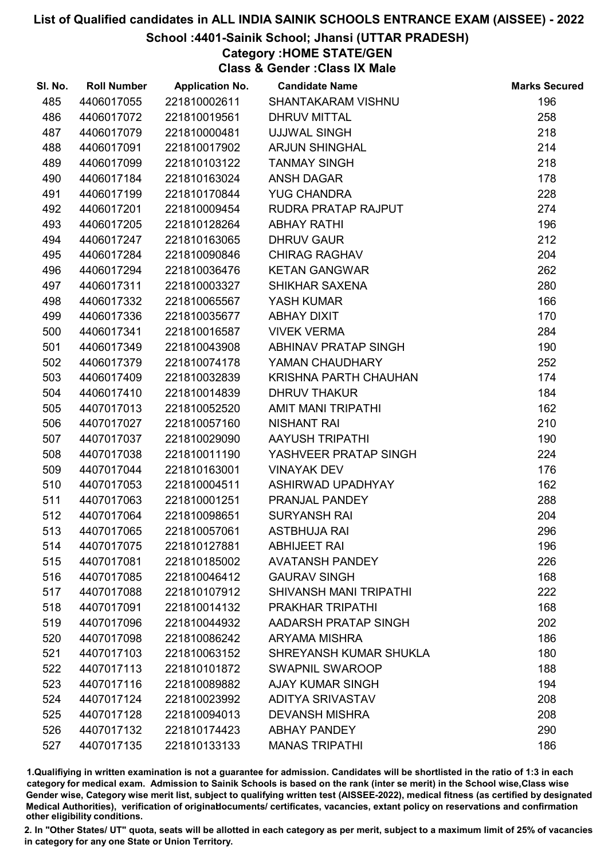# School :4401-Sainik School; Jhansi (UTTAR PRADESH)

# Category :HOME STATE/GEN

Class & Gender :Class IX Male

| SI. No. | <b>Roll Number</b> | <b>Application No.</b> | <b>Candidate Name</b>   | <b>Marks Secured</b> |
|---------|--------------------|------------------------|-------------------------|----------------------|
| 485     | 4406017055         | 221810002611           | SHANTAKARAM VISHNU      | 196                  |
| 486     | 4406017072         | 221810019561           | <b>DHRUV MITTAL</b>     | 258                  |
| 487     | 4406017079         | 221810000481           | <b>UJJWAL SINGH</b>     | 218                  |
| 488     | 4406017091         | 221810017902           | <b>ARJUN SHINGHAL</b>   | 214                  |
| 489     | 4406017099         | 221810103122           | <b>TANMAY SINGH</b>     | 218                  |
| 490     | 4406017184         | 221810163024           | <b>ANSH DAGAR</b>       | 178                  |
| 491     | 4406017199         | 221810170844           | <b>YUG CHANDRA</b>      | 228                  |
| 492     | 4406017201         | 221810009454           | RUDRA PRATAP RAJPUT     | 274                  |
| 493     | 4406017205         | 221810128264           | <b>ABHAY RATHI</b>      | 196                  |
| 494     | 4406017247         | 221810163065           | <b>DHRUV GAUR</b>       | 212                  |
| 495     | 4406017284         | 221810090846           | <b>CHIRAG RAGHAV</b>    | 204                  |
| 496     | 4406017294         | 221810036476           | <b>KETAN GANGWAR</b>    | 262                  |
| 497     | 4406017311         | 221810003327           | SHIKHAR SAXENA          | 280                  |
| 498     | 4406017332         | 221810065567           | YASH KUMAR              | 166                  |
| 499     | 4406017336         | 221810035677           | ABHAY DIXIT             | 170                  |
| 500     | 4406017341         | 221810016587           | <b>VIVEK VERMA</b>      | 284                  |
| 501     | 4406017349         | 221810043908           | ABHINAV PRATAP SINGH    | 190                  |
| 502     | 4406017379         | 221810074178           | YAMAN CHAUDHARY         | 252                  |
| 503     | 4406017409         | 221810032839           | KRISHNA PARTH CHAUHAN   | 174                  |
| 504     | 4406017410         | 221810014839           | <b>DHRUV THAKUR</b>     | 184                  |
| 505     | 4407017013         | 221810052520           | AMIT MANI TRIPATHI      | 162                  |
| 506     | 4407017027         | 221810057160           | <b>NISHANT RAI</b>      | 210                  |
| 507     | 4407017037         | 221810029090           | <b>AAYUSH TRIPATHI</b>  | 190                  |
| 508     | 4407017038         | 221810011190           | YASHVEER PRATAP SINGH   | 224                  |
| 509     | 4407017044         | 221810163001           | <b>VINAYAK DEV</b>      | 176                  |
| 510     | 4407017053         | 221810004511           | ASHIRWAD UPADHYAY       | 162                  |
| 511     | 4407017063         | 221810001251           | PRANJAL PANDEY          | 288                  |
| 512     | 4407017064         | 221810098651           | <b>SURYANSH RAI</b>     | 204                  |
| 513     | 4407017065         | 221810057061           | <b>ASTBHUJA RAI</b>     | 296                  |
| 514     | 4407017075         | 221810127881           | <b>ABHIJEET RAI</b>     | 196                  |
| 515     | 4407017081         | 221810185002           | <b>AVATANSH PANDEY</b>  | 226                  |
| 516     | 4407017085         | 221810046412           | <b>GAURAV SINGH</b>     | 168                  |
| 517     | 4407017088         | 221810107912           | SHIVANSH MANI TRIPATHI  | 222                  |
| 518     | 4407017091         | 221810014132           | <b>PRAKHAR TRIPATHI</b> | 168                  |
| 519     | 4407017096         | 221810044932           | AADARSH PRATAP SINGH    | 202                  |
| 520     | 4407017098         | 221810086242           | <b>ARYAMA MISHRA</b>    | 186                  |
| 521     | 4407017103         | 221810063152           | SHREYANSH KUMAR SHUKLA  | 180                  |
| 522     | 4407017113         | 221810101872           | <b>SWAPNIL SWAROOP</b>  | 188                  |
| 523     | 4407017116         | 221810089882           | <b>AJAY KUMAR SINGH</b> | 194                  |
| 524     | 4407017124         | 221810023992           | <b>ADITYA SRIVASTAV</b> | 208                  |
| 525     | 4407017128         | 221810094013           | <b>DEVANSH MISHRA</b>   | 208                  |
| 526     | 4407017132         | 221810174423           | <b>ABHAY PANDEY</b>     | 290                  |
| 527     | 4407017135         | 221810133133           | <b>MANAS TRIPATHI</b>   | 186                  |

1.Qualifiying in written examination is not a guarantee for admission. Candidates will be shortlisted in the ratio of 1:3 in each category for medical exam. Admission to Sainik Schools is based on the rank (inter se merit) in the School wise,Class wise Gender wise, Category wise merit list, subject to qualifying written test (AISSEE-2022), medical fitness (as certified by designated Medical Authorities), verification of originablocuments/ certificates, vacancies, extant policy on reservations and confirmation other eligibility conditions.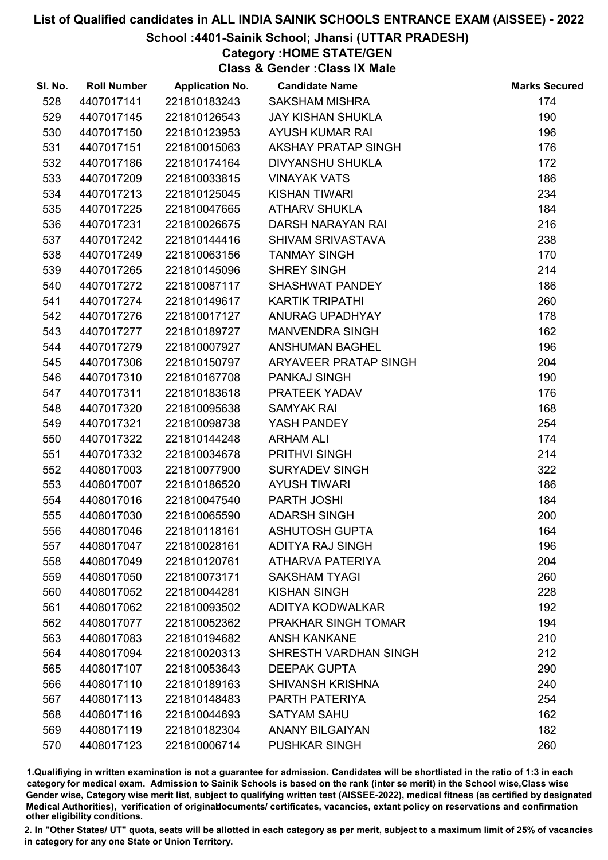# School :4401-Sainik School; Jhansi (UTTAR PRADESH)

# Category :HOME STATE/GEN

Class & Gender :Class IX Male

| SI. No. | <b>Roll Number</b> | <b>Application No.</b> | <b>Candidate Name</b>      | <b>Marks Secured</b> |
|---------|--------------------|------------------------|----------------------------|----------------------|
| 528     | 4407017141         | 221810183243           | <b>SAKSHAM MISHRA</b>      | 174                  |
| 529     | 4407017145         | 221810126543           | <b>JAY KISHAN SHUKLA</b>   | 190                  |
| 530     | 4407017150         | 221810123953           | <b>AYUSH KUMAR RAI</b>     | 196                  |
| 531     | 4407017151         | 221810015063           | <b>AKSHAY PRATAP SINGH</b> | 176                  |
| 532     | 4407017186         | 221810174164           | <b>DIVYANSHU SHUKLA</b>    | 172                  |
| 533     | 4407017209         | 221810033815           | <b>VINAYAK VATS</b>        | 186                  |
| 534     | 4407017213         | 221810125045           | <b>KISHAN TIWARI</b>       | 234                  |
| 535     | 4407017225         | 221810047665           | <b>ATHARV SHUKLA</b>       | 184                  |
| 536     | 4407017231         | 221810026675           | DARSH NARAYAN RAI          | 216                  |
| 537     | 4407017242         | 221810144416           | SHIVAM SRIVASTAVA          | 238                  |
| 538     | 4407017249         | 221810063156           | <b>TANMAY SINGH</b>        | 170                  |
| 539     | 4407017265         | 221810145096           | <b>SHREY SINGH</b>         | 214                  |
| 540     | 4407017272         | 221810087117           | SHASHWAT PANDEY            | 186                  |
| 541     | 4407017274         | 221810149617           | <b>KARTIK TRIPATHI</b>     | 260                  |
| 542     | 4407017276         | 221810017127           | ANURAG UPADHYAY            | 178                  |
| 543     | 4407017277         | 221810189727           | <b>MANVENDRA SINGH</b>     | 162                  |
| 544     | 4407017279         | 221810007927           | <b>ANSHUMAN BAGHEL</b>     | 196                  |
| 545     | 4407017306         | 221810150797           | ARYAVEER PRATAP SINGH      | 204                  |
| 546     | 4407017310         | 221810167708           | PANKAJ SINGH               | 190                  |
| 547     | 4407017311         | 221810183618           | PRATEEK YADAV              | 176                  |
| 548     | 4407017320         | 221810095638           | <b>SAMYAK RAI</b>          | 168                  |
| 549     | 4407017321         | 221810098738           | YASH PANDEY                | 254                  |
| 550     | 4407017322         | 221810144248           | <b>ARHAM ALI</b>           | 174                  |
| 551     | 4407017332         | 221810034678           | PRITHVI SINGH              | 214                  |
| 552     | 4408017003         | 221810077900           | <b>SURYADEV SINGH</b>      | 322                  |
| 553     | 4408017007         | 221810186520           | <b>AYUSH TIWARI</b>        | 186                  |
| 554     | 4408017016         | 221810047540           | PARTH JOSHI                | 184                  |
| 555     | 4408017030         | 221810065590           | <b>ADARSH SINGH</b>        | 200                  |
| 556     | 4408017046         | 221810118161           | <b>ASHUTOSH GUPTA</b>      | 164                  |
| 557     | 4408017047         | 221810028161           | <b>ADITYA RAJ SINGH</b>    | 196                  |
| 558     | 4408017049         | 221810120761           | <b>ATHARVA PATERIYA</b>    | 204                  |
| 559     | 4408017050         | 221810073171           | <b>SAKSHAM TYAGI</b>       | 260                  |
| 560     | 4408017052         | 221810044281           | <b>KISHAN SINGH</b>        | 228                  |
| 561     | 4408017062         | 221810093502           | <b>ADITYA KODWALKAR</b>    | 192                  |
| 562     | 4408017077         | 221810052362           | PRAKHAR SINGH TOMAR        | 194                  |
| 563     | 4408017083         | 221810194682           | <b>ANSH KANKANE</b>        | 210                  |
| 564     | 4408017094         | 221810020313           | SHRESTH VARDHAN SINGH      | 212                  |
| 565     | 4408017107         | 221810053643           | <b>DEEPAK GUPTA</b>        | 290                  |
| 566     | 4408017110         | 221810189163           | <b>SHIVANSH KRISHNA</b>    | 240                  |
| 567     | 4408017113         | 221810148483           | PARTH PATERIYA             | 254                  |
| 568     | 4408017116         | 221810044693           | <b>SATYAM SAHU</b>         | 162                  |
| 569     | 4408017119         | 221810182304           | <b>ANANY BILGAIYAN</b>     | 182                  |
| 570     | 4408017123         | 221810006714           | <b>PUSHKAR SINGH</b>       | 260                  |

1.Qualifiying in written examination is not a guarantee for admission. Candidates will be shortlisted in the ratio of 1:3 in each category for medical exam. Admission to Sainik Schools is based on the rank (inter se merit) in the School wise,Class wise Gender wise, Category wise merit list, subject to qualifying written test (AISSEE-2022), medical fitness (as certified by designated Medical Authorities), verification of originablocuments/ certificates, vacancies, extant policy on reservations and confirmation other eligibility conditions.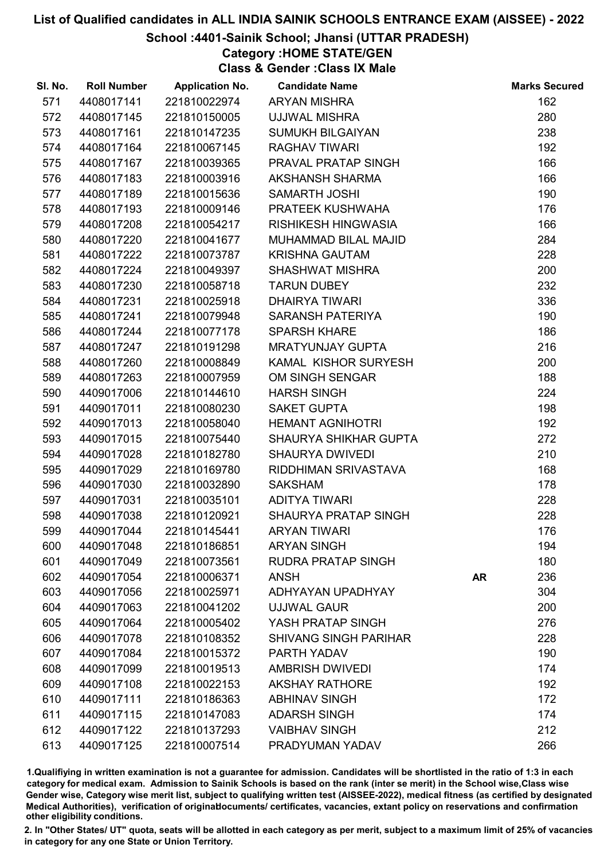## School :4401-Sainik School; Jhansi (UTTAR PRADESH)

Category :HOME STATE/GEN

Class & Gender :Class IX Male

| SI. No. | <b>Roll Number</b> | <b>Application No.</b> | <b>Candidate Name</b>        |           | <b>Marks Secured</b> |
|---------|--------------------|------------------------|------------------------------|-----------|----------------------|
| 571     | 4408017141         | 221810022974           | <b>ARYAN MISHRA</b>          |           | 162                  |
| 572     | 4408017145         | 221810150005           | <b>UJJWAL MISHRA</b>         |           | 280                  |
| 573     | 4408017161         | 221810147235           | <b>SUMUKH BILGAIYAN</b>      |           | 238                  |
| 574     | 4408017164         | 221810067145           | <b>RAGHAV TIWARI</b>         |           | 192                  |
| 575     | 4408017167         | 221810039365           | PRAVAL PRATAP SINGH          |           | 166                  |
| 576     | 4408017183         | 221810003916           | <b>AKSHANSH SHARMA</b>       |           | 166                  |
| 577     | 4408017189         | 221810015636           | <b>SAMARTH JOSHI</b>         |           | 190                  |
| 578     | 4408017193         | 221810009146           | PRATEEK KUSHWAHA             |           | 176                  |
| 579     | 4408017208         | 221810054217           | <b>RISHIKESH HINGWASIA</b>   |           | 166                  |
| 580     | 4408017220         | 221810041677           | MUHAMMAD BILAL MAJID         |           | 284                  |
| 581     | 4408017222         | 221810073787           | <b>KRISHNA GAUTAM</b>        |           | 228                  |
| 582     | 4408017224         | 221810049397           | <b>SHASHWAT MISHRA</b>       |           | 200                  |
| 583     | 4408017230         | 221810058718           | <b>TARUN DUBEY</b>           |           | 232                  |
| 584     | 4408017231         | 221810025918           | <b>DHAIRYA TIWARI</b>        |           | 336                  |
| 585     | 4408017241         | 221810079948           | SARANSH PATERIYA             |           | 190                  |
| 586     | 4408017244         | 221810077178           | <b>SPARSH KHARE</b>          |           | 186                  |
| 587     | 4408017247         | 221810191298           | <b>MRATYUNJAY GUPTA</b>      |           | 216                  |
| 588     | 4408017260         | 221810008849           | KAMAL KISHOR SURYESH         |           | 200                  |
| 589     | 4408017263         | 221810007959           | OM SINGH SENGAR              |           | 188                  |
| 590     | 4409017006         | 221810144610           | <b>HARSH SINGH</b>           |           | 224                  |
| 591     | 4409017011         | 221810080230           | <b>SAKET GUPTA</b>           |           | 198                  |
| 592     | 4409017013         | 221810058040           | <b>HEMANT AGNIHOTRI</b>      |           | 192                  |
| 593     | 4409017015         | 221810075440           | SHAURYA SHIKHAR GUPTA        |           | 272                  |
| 594     | 4409017028         | 221810182780           | <b>SHAURYA DWIVEDI</b>       |           | 210                  |
| 595     | 4409017029         | 221810169780           | RIDDHIMAN SRIVASTAVA         |           | 168                  |
| 596     | 4409017030         | 221810032890           | <b>SAKSHAM</b>               |           | 178                  |
| 597     | 4409017031         | 221810035101           | <b>ADITYA TIWARI</b>         |           | 228                  |
| 598     | 4409017038         | 221810120921           | <b>SHAURYA PRATAP SINGH</b>  |           | 228                  |
| 599     | 4409017044         | 221810145441           | <b>ARYAN TIWARI</b>          |           | 176                  |
| 600     | 4409017048         | 221810186851           | <b>ARYAN SINGH</b>           |           | 194                  |
| 601     | 4409017049         | 221810073561           | <b>RUDRA PRATAP SINGH</b>    |           | 180                  |
| 602     | 4409017054         | 221810006371           | <b>ANSH</b>                  | <b>AR</b> | 236                  |
| 603     | 4409017056         | 221810025971           | ADHYAYAN UPADHYAY            |           | 304                  |
| 604     | 4409017063         | 221810041202           | <b>UJJWAL GAUR</b>           |           | 200                  |
| 605     | 4409017064         | 221810005402           | YASH PRATAP SINGH            |           | 276                  |
| 606     | 4409017078         | 221810108352           | <b>SHIVANG SINGH PARIHAR</b> |           | 228                  |
| 607     | 4409017084         | 221810015372           | PARTH YADAV                  |           | 190                  |
| 608     | 4409017099         | 221810019513           | <b>AMBRISH DWIVEDI</b>       |           | 174                  |
| 609     | 4409017108         | 221810022153           | <b>AKSHAY RATHORE</b>        |           | 192                  |
| 610     | 4409017111         | 221810186363           | <b>ABHINAV SINGH</b>         |           | 172                  |
| 611     | 4409017115         | 221810147083           | <b>ADARSH SINGH</b>          |           | 174                  |
| 612     | 4409017122         | 221810137293           | <b>VAIBHAV SINGH</b>         |           | 212                  |
| 613     | 4409017125         | 221810007514           | PRADYUMAN YADAV              |           | 266                  |

1.Qualifiying in written examination is not a guarantee for admission. Candidates will be shortlisted in the ratio of 1:3 in each category for medical exam. Admission to Sainik Schools is based on the rank (inter se merit) in the School wise,Class wise Gender wise, Category wise merit list, subject to qualifying written test (AISSEE-2022), medical fitness (as certified by designated Medical Authorities), verification of originablocuments/ certificates, vacancies, extant policy on reservations and confirmation other eligibility conditions.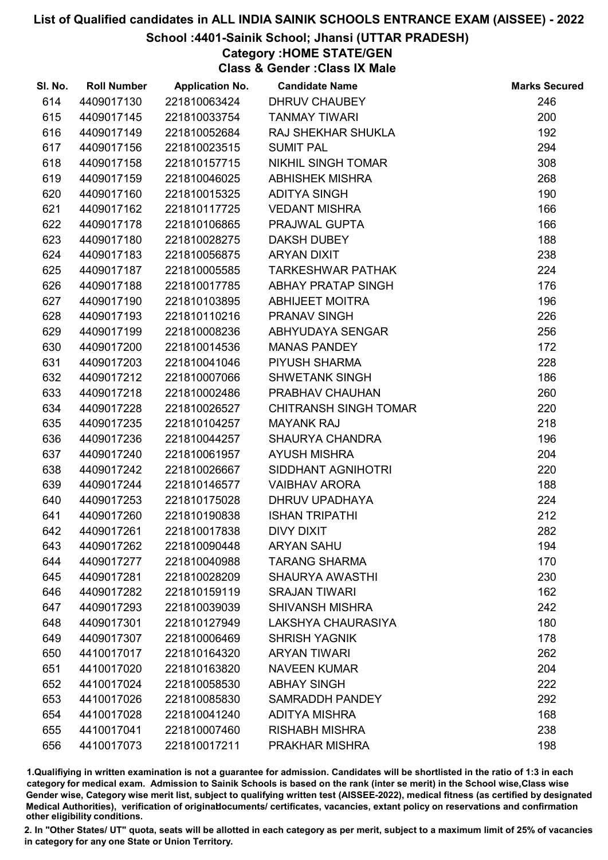## School :4401-Sainik School; Jhansi (UTTAR PRADESH)

Category :HOME STATE/GEN

Class & Gender :Class IX Male

| SI. No. | <b>Roll Number</b> | <b>Application No.</b> | <b>Candidate Name</b>        | <b>Marks Secured</b> |
|---------|--------------------|------------------------|------------------------------|----------------------|
| 614     | 4409017130         | 221810063424           | <b>DHRUV CHAUBEY</b>         | 246                  |
| 615     | 4409017145         | 221810033754           | <b>TANMAY TIWARI</b>         | 200                  |
| 616     | 4409017149         | 221810052684           | <b>RAJ SHEKHAR SHUKLA</b>    | 192                  |
| 617     | 4409017156         | 221810023515           | <b>SUMIT PAL</b>             | 294                  |
| 618     | 4409017158         | 221810157715           | <b>NIKHIL SINGH TOMAR</b>    | 308                  |
| 619     | 4409017159         | 221810046025           | <b>ABHISHEK MISHRA</b>       | 268                  |
| 620     | 4409017160         | 221810015325           | <b>ADITYA SINGH</b>          | 190                  |
| 621     | 4409017162         | 221810117725           | <b>VEDANT MISHRA</b>         | 166                  |
| 622     | 4409017178         | 221810106865           | PRAJWAL GUPTA                | 166                  |
| 623     | 4409017180         | 221810028275           | <b>DAKSH DUBEY</b>           | 188                  |
| 624     | 4409017183         | 221810056875           | <b>ARYAN DIXIT</b>           | 238                  |
| 625     | 4409017187         | 221810005585           | <b>TARKESHWAR PATHAK</b>     | 224                  |
| 626     | 4409017188         | 221810017785           | ABHAY PRATAP SINGH           | 176                  |
| 627     | 4409017190         | 221810103895           | <b>ABHIJEET MOITRA</b>       | 196                  |
| 628     | 4409017193         | 221810110216           | <b>PRANAV SINGH</b>          | 226                  |
| 629     | 4409017199         | 221810008236           | ABHYUDAYA SENGAR             | 256                  |
| 630     | 4409017200         | 221810014536           | <b>MANAS PANDEY</b>          | 172                  |
| 631     | 4409017203         | 221810041046           | PIYUSH SHARMA                | 228                  |
| 632     | 4409017212         | 221810007066           | <b>SHWETANK SINGH</b>        | 186                  |
| 633     | 4409017218         | 221810002486           | PRABHAV CHAUHAN              | 260                  |
| 634     | 4409017228         | 221810026527           | <b>CHITRANSH SINGH TOMAR</b> | 220                  |
| 635     | 4409017235         | 221810104257           | <b>MAYANK RAJ</b>            | 218                  |
| 636     | 4409017236         | 221810044257           | <b>SHAURYA CHANDRA</b>       | 196                  |
| 637     | 4409017240         | 221810061957           | <b>AYUSH MISHRA</b>          | 204                  |
| 638     | 4409017242         | 221810026667           | SIDDHANT AGNIHOTRI           | 220                  |
| 639     | 4409017244         | 221810146577           | <b>VAIBHAV ARORA</b>         | 188                  |
| 640     | 4409017253         | 221810175028           | DHRUV UPADHAYA               | 224                  |
| 641     | 4409017260         | 221810190838           | <b>ISHAN TRIPATHI</b>        | 212                  |
| 642     | 4409017261         | 221810017838           | <b>DIVY DIXIT</b>            | 282                  |
| 643     | 4409017262         | 221810090448           | <b>ARYAN SAHU</b>            | 194                  |
| 644     | 4409017277         | 221810040988           | <b>TARANG SHARMA</b>         | 170                  |
| 645     | 4409017281         | 221810028209           | <b>SHAURYA AWASTHI</b>       | 230                  |
| 646     | 4409017282         | 221810159119           | <b>SRAJAN TIWARI</b>         | 162                  |
| 647     | 4409017293         | 221810039039           | <b>SHIVANSH MISHRA</b>       | 242                  |
| 648     | 4409017301         | 221810127949           | LAKSHYA CHAURASIYA           | 180                  |
| 649     | 4409017307         | 221810006469           | <b>SHRISH YAGNIK</b>         | 178                  |
| 650     | 4410017017         | 221810164320           | <b>ARYAN TIWARI</b>          | 262                  |
| 651     | 4410017020         | 221810163820           | <b>NAVEEN KUMAR</b>          | 204                  |
| 652     | 4410017024         | 221810058530           | <b>ABHAY SINGH</b>           | 222                  |
| 653     | 4410017026         | 221810085830           | <b>SAMRADDH PANDEY</b>       | 292                  |
| 654     | 4410017028         | 221810041240           | <b>ADITYA MISHRA</b>         | 168                  |
| 655     | 4410017041         | 221810007460           | <b>RISHABH MISHRA</b>        | 238                  |
| 656     | 4410017073         | 221810017211           | PRAKHAR MISHRA               | 198                  |

1.Qualifiying in written examination is not a guarantee for admission. Candidates will be shortlisted in the ratio of 1:3 in each category for medical exam. Admission to Sainik Schools is based on the rank (inter se merit) in the School wise,Class wise Gender wise, Category wise merit list, subject to qualifying written test (AISSEE-2022), medical fitness (as certified by designated Medical Authorities), verification of originablocuments/ certificates, vacancies, extant policy on reservations and confirmation other eligibility conditions.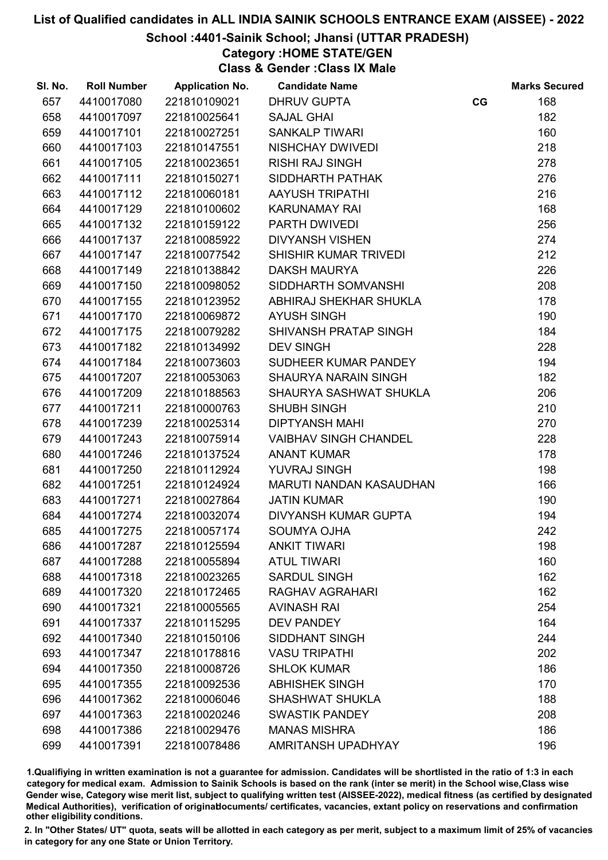## School :4401-Sainik School; Jhansi (UTTAR PRADESH)

Category :HOME STATE/GEN

Class & Gender :Class IX Male

| SI. No. | <b>Roll Number</b> | <b>Application No.</b> | <b>Candidate Name</b>        |    | <b>Marks Secured</b> |
|---------|--------------------|------------------------|------------------------------|----|----------------------|
| 657     | 4410017080         | 221810109021           | <b>DHRUV GUPTA</b>           | CG | 168                  |
| 658     | 4410017097         | 221810025641           | <b>SAJAL GHAI</b>            |    | 182                  |
| 659     | 4410017101         | 221810027251           | <b>SANKALP TIWARI</b>        |    | 160                  |
| 660     | 4410017103         | 221810147551           | NISHCHAY DWIVEDI             |    | 218                  |
| 661     | 4410017105         | 221810023651           | <b>RISHI RAJ SINGH</b>       |    | 278                  |
| 662     | 4410017111         | 221810150271           | SIDDHARTH PATHAK             |    | 276                  |
| 663     | 4410017112         | 221810060181           | AAYUSH TRIPATHI              |    | 216                  |
| 664     | 4410017129         | 221810100602           | <b>KARUNAMAY RAI</b>         |    | 168                  |
| 665     | 4410017132         | 221810159122           | PARTH DWIVEDI                |    | 256                  |
| 666     | 4410017137         | 221810085922           | <b>DIVYANSH VISHEN</b>       |    | 274                  |
| 667     | 4410017147         | 221810077542           | SHISHIR KUMAR TRIVEDI        |    | 212                  |
| 668     | 4410017149         | 221810138842           | <b>DAKSH MAURYA</b>          |    | 226                  |
| 669     | 4410017150         | 221810098052           | SIDDHARTH SOMVANSHI          |    | 208                  |
| 670     | 4410017155         | 221810123952           | ABHIRAJ SHEKHAR SHUKLA       |    | 178                  |
| 671     | 4410017170         | 221810069872           | <b>AYUSH SINGH</b>           |    | 190                  |
| 672     | 4410017175         | 221810079282           | SHIVANSH PRATAP SINGH        |    | 184                  |
| 673     | 4410017182         | 221810134992           | <b>DEV SINGH</b>             |    | 228                  |
| 674     | 4410017184         | 221810073603           | SUDHEER KUMAR PANDEY         |    | 194                  |
| 675     | 4410017207         | 221810053063           | <b>SHAURYA NARAIN SINGH</b>  |    | 182                  |
| 676     | 4410017209         | 221810188563           | SHAURYA SASHWAT SHUKLA       |    | 206                  |
| 677     | 4410017211         | 221810000763           | <b>SHUBH SINGH</b>           |    | 210                  |
| 678     | 4410017239         | 221810025314           | <b>DIPTYANSH MAHI</b>        |    | 270                  |
| 679     | 4410017243         | 221810075914           | <b>VAIBHAV SINGH CHANDEL</b> |    | 228                  |
| 680     | 4410017246         | 221810137524           | <b>ANANT KUMAR</b>           |    | 178                  |
| 681     | 4410017250         | 221810112924           | YUVRAJ SINGH                 |    | 198                  |
| 682     | 4410017251         | 221810124924           | MARUTI NANDAN KASAUDHAN      |    | 166                  |
| 683     | 4410017271         | 221810027864           | <b>JATIN KUMAR</b>           |    | 190                  |
| 684     | 4410017274         | 221810032074           | <b>DIVYANSH KUMAR GUPTA</b>  |    | 194                  |
| 685     | 4410017275         | 221810057174           | <b>SOUMYA OJHA</b>           |    | 242                  |
| 686     | 4410017287         | 221810125594           | <b>ANKIT TIWARI</b>          |    | 198                  |
| 687     | 4410017288         | 221810055894           | <b>ATUL TIWARI</b>           |    | 160                  |
| 688     | 4410017318         | 221810023265           | <b>SARDUL SINGH</b>          |    | 162                  |
| 689     | 4410017320         | 221810172465           | <b>RAGHAV AGRAHARI</b>       |    | 162                  |
| 690     | 4410017321         | 221810005565           | <b>AVINASH RAI</b>           |    | 254                  |
| 691     | 4410017337         | 221810115295           | <b>DEV PANDEY</b>            |    | 164                  |
| 692     | 4410017340         | 221810150106           | <b>SIDDHANT SINGH</b>        |    | 244                  |
| 693     | 4410017347         | 221810178816           | <b>VASU TRIPATHI</b>         |    | 202                  |
| 694     | 4410017350         | 221810008726           | <b>SHLOK KUMAR</b>           |    | 186                  |
| 695     | 4410017355         | 221810092536           | <b>ABHISHEK SINGH</b>        |    | 170                  |
| 696     | 4410017362         | 221810006046           | <b>SHASHWAT SHUKLA</b>       |    | 188                  |
| 697     | 4410017363         | 221810020246           | <b>SWASTIK PANDEY</b>        |    | 208                  |
| 698     | 4410017386         | 221810029476           | <b>MANAS MISHRA</b>          |    | 186                  |
| 699     | 4410017391         | 221810078486           | <b>AMRITANSH UPADHYAY</b>    |    | 196                  |
|         |                    |                        |                              |    |                      |

1.Qualifiying in written examination is not a guarantee for admission. Candidates will be shortlisted in the ratio of 1:3 in each category for medical exam. Admission to Sainik Schools is based on the rank (inter se merit) in the School wise,Class wise Gender wise, Category wise merit list, subject to qualifying written test (AISSEE-2022), medical fitness (as certified by designated Medical Authorities), verification of originablocuments/ certificates, vacancies, extant policy on reservations and confirmation other eligibility conditions.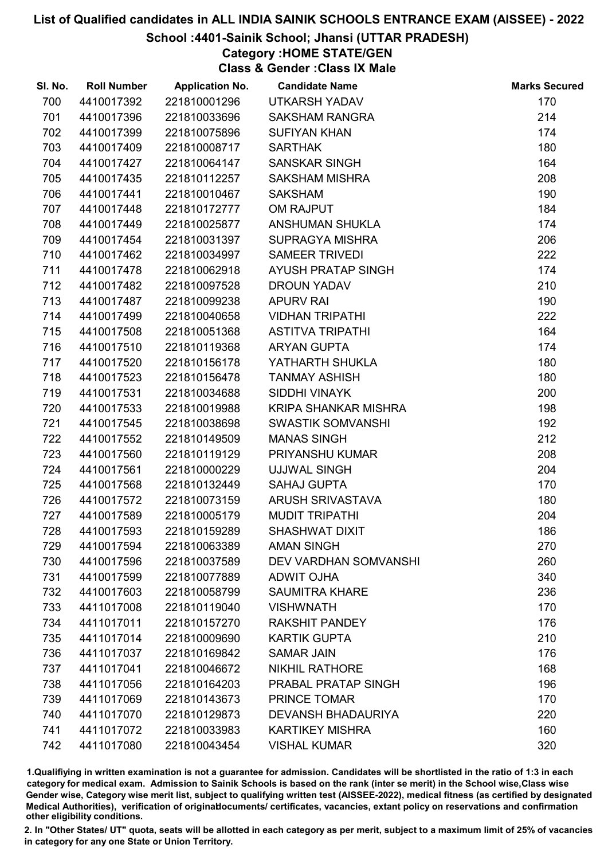# School :4401-Sainik School; Jhansi (UTTAR PRADESH)

Category :HOME STATE/GEN

Class & Gender :Class IX Male

| SI. No. | <b>Roll Number</b> | <b>Application No.</b> | <b>Candidate Name</b>        | <b>Marks Secured</b> |
|---------|--------------------|------------------------|------------------------------|----------------------|
| 700     | 4410017392         | 221810001296           | UTKARSH YADAV                | 170                  |
| 701     | 4410017396         | 221810033696           | <b>SAKSHAM RANGRA</b>        | 214                  |
| 702     | 4410017399         | 221810075896           | <b>SUFIYAN KHAN</b>          | 174                  |
| 703     | 4410017409         | 221810008717           | <b>SARTHAK</b>               | 180                  |
| 704     | 4410017427         | 221810064147           | <b>SANSKAR SINGH</b>         | 164                  |
| 705     | 4410017435         | 221810112257           | <b>SAKSHAM MISHRA</b>        | 208                  |
| 706     | 4410017441         | 221810010467           | <b>SAKSHAM</b>               | 190                  |
| 707     | 4410017448         | 221810172777           | OM RAJPUT                    | 184                  |
| 708     | 4410017449         | 221810025877           | ANSHUMAN SHUKLA              | 174                  |
| 709     | 4410017454         | 221810031397           | <b>SUPRAGYA MISHRA</b>       | 206                  |
| 710     | 4410017462         | 221810034997           | <b>SAMEER TRIVEDI</b>        | 222                  |
| 711     | 4410017478         | 221810062918           | AYUSH PRATAP SINGH           | 174                  |
| 712     | 4410017482         | 221810097528           | <b>DROUN YADAV</b>           | 210                  |
| 713     | 4410017487         | 221810099238           | <b>APURV RAI</b>             | 190                  |
| 714     | 4410017499         | 221810040658           | <b>VIDHAN TRIPATHI</b>       | 222                  |
| 715     | 4410017508         | 221810051368           | <b>ASTITVA TRIPATHI</b>      | 164                  |
| 716     | 4410017510         | 221810119368           | <b>ARYAN GUPTA</b>           | 174                  |
| 717     | 4410017520         | 221810156178           | YATHARTH SHUKLA              | 180                  |
| 718     | 4410017523         | 221810156478           | <b>TANMAY ASHISH</b>         | 180                  |
| 719     | 4410017531         | 221810034688           | SIDDHI VINAYK                | 200                  |
| 720     | 4410017533         | 221810019988           | KRIPA SHANKAR MISHRA         | 198                  |
| 721     | 4410017545         | 221810038698           | <b>SWASTIK SOMVANSHI</b>     | 192                  |
| 722     | 4410017552         | 221810149509           | <b>MANAS SINGH</b>           | 212                  |
| 723     | 4410017560         | 221810119129           | PRIYANSHU KUMAR              | 208                  |
| 724     | 4410017561         | 221810000229           | <b>UJJWAL SINGH</b>          | 204                  |
| 725     | 4410017568         | 221810132449           | <b>SAHAJ GUPTA</b>           | 170                  |
| 726     | 4410017572         | 221810073159           | <b>ARUSH SRIVASTAVA</b>      | 180                  |
| 727     | 4410017589         | 221810005179           | <b>MUDIT TRIPATHI</b>        | 204                  |
| 728     | 4410017593         | 221810159289           | SHASHWAT DIXIT               | 186                  |
| 729     | 4410017594         | 221810063389           | <b>AMAN SINGH</b>            | 270                  |
| 730     | 4410017596         | 221810037589           | <b>DEV VARDHAN SOMVANSHI</b> | 260                  |
| 731     | 4410017599         | 221810077889           | <b>ADWIT OJHA</b>            | 340                  |
| 732     | 4410017603         | 221810058799           | <b>SAUMITRA KHARE</b>        | 236                  |
| 733     | 4411017008         | 221810119040           | <b>VISHWNATH</b>             | 170                  |
| 734     | 4411017011         | 221810157270           | <b>RAKSHIT PANDEY</b>        | 176                  |
| 735     | 4411017014         | 221810009690           | <b>KARTIK GUPTA</b>          | 210                  |
| 736     | 4411017037         | 221810169842           | <b>SAMAR JAIN</b>            | 176                  |
| 737     | 4411017041         | 221810046672           | <b>NIKHIL RATHORE</b>        | 168                  |
| 738     | 4411017056         | 221810164203           | PRABAL PRATAP SINGH          | 196                  |
| 739     | 4411017069         | 221810143673           | PRINCE TOMAR                 | 170                  |
| 740     | 4411017070         | 221810129873           | <b>DEVANSH BHADAURIYA</b>    | 220                  |
| 741     | 4411017072         | 221810033983           | <b>KARTIKEY MISHRA</b>       | 160                  |
| 742     | 4411017080         | 221810043454           | <b>VISHAL KUMAR</b>          | 320                  |

1.Qualifiying in written examination is not a guarantee for admission. Candidates will be shortlisted in the ratio of 1:3 in each category for medical exam. Admission to Sainik Schools is based on the rank (inter se merit) in the School wise,Class wise Gender wise, Category wise merit list, subject to qualifying written test (AISSEE-2022), medical fitness (as certified by designated Medical Authorities), verification of originablocuments/ certificates, vacancies, extant policy on reservations and confirmation other eligibility conditions.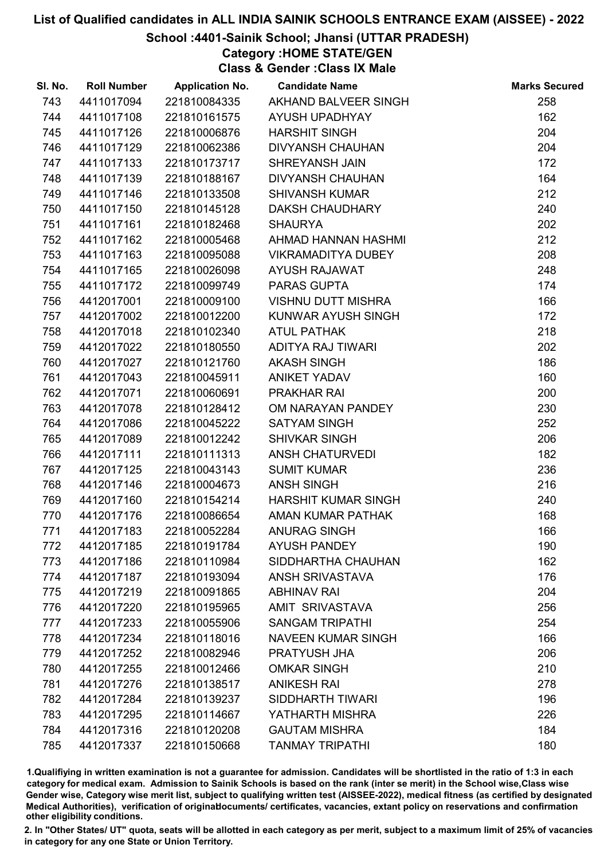# School :4401-Sainik School; Jhansi (UTTAR PRADESH)

Category :HOME STATE/GEN

Class & Gender :Class IX Male

| SI. No. | <b>Roll Number</b> | <b>Application No.</b> | <b>Candidate Name</b>      | <b>Marks Secured</b> |
|---------|--------------------|------------------------|----------------------------|----------------------|
| 743     | 4411017094         | 221810084335           | AKHAND BALVEER SINGH       | 258                  |
| 744     | 4411017108         | 221810161575           | <b>AYUSH UPADHYAY</b>      | 162                  |
| 745     | 4411017126         | 221810006876           | <b>HARSHIT SINGH</b>       | 204                  |
| 746     | 4411017129         | 221810062386           | <b>DIVYANSH CHAUHAN</b>    | 204                  |
| 747     | 4411017133         | 221810173717           | <b>SHREYANSH JAIN</b>      | 172                  |
| 748     | 4411017139         | 221810188167           | <b>DIVYANSH CHAUHAN</b>    | 164                  |
| 749     | 4411017146         | 221810133508           | <b>SHIVANSH KUMAR</b>      | 212                  |
| 750     | 4411017150         | 221810145128           | <b>DAKSH CHAUDHARY</b>     | 240                  |
| 751     | 4411017161         | 221810182468           | <b>SHAURYA</b>             | 202                  |
| 752     | 4411017162         | 221810005468           | AHMAD HANNAN HASHMI        | 212                  |
| 753     | 4411017163         | 221810095088           | <b>VIKRAMADITYA DUBEY</b>  | 208                  |
| 754     | 4411017165         | 221810026098           | <b>AYUSH RAJAWAT</b>       | 248                  |
| 755     | 4411017172         | 221810099749           | PARAS GUPTA                | 174                  |
| 756     | 4412017001         | 221810009100           | <b>VISHNU DUTT MISHRA</b>  | 166                  |
| 757     | 4412017002         | 221810012200           | KUNWAR AYUSH SINGH         | 172                  |
| 758     | 4412017018         | 221810102340           | <b>ATUL PATHAK</b>         | 218                  |
| 759     | 4412017022         | 221810180550           | ADITYA RAJ TIWARI          | 202                  |
| 760     | 4412017027         | 221810121760           | <b>AKASH SINGH</b>         | 186                  |
| 761     | 4412017043         | 221810045911           | <b>ANIKET YADAV</b>        | 160                  |
| 762     | 4412017071         | 221810060691           | <b>PRAKHAR RAI</b>         | 200                  |
| 763     | 4412017078         | 221810128412           | OM NARAYAN PANDEY          | 230                  |
| 764     | 4412017086         | 221810045222           | <b>SATYAM SINGH</b>        | 252                  |
| 765     | 4412017089         | 221810012242           | <b>SHIVKAR SINGH</b>       | 206                  |
| 766     | 4412017111         | 221810111313           | <b>ANSH CHATURVEDI</b>     | 182                  |
| 767     | 4412017125         | 221810043143           | <b>SUMIT KUMAR</b>         | 236                  |
| 768     | 4412017146         | 221810004673           | <b>ANSH SINGH</b>          | 216                  |
| 769     | 4412017160         | 221810154214           | <b>HARSHIT KUMAR SINGH</b> | 240                  |
| 770     | 4412017176         | 221810086654           | AMAN KUMAR PATHAK          | 168                  |
| 771     | 4412017183         | 221810052284           | <b>ANURAG SINGH</b>        | 166                  |
| 772     | 4412017185         | 221810191784           | <b>AYUSH PANDEY</b>        | 190                  |
| 773     | 4412017186         | 221810110984           | SIDDHARTHA CHAUHAN         | 162                  |
| 774     | 4412017187         | 221810193094           | <b>ANSH SRIVASTAVA</b>     | 176                  |
| 775     | 4412017219         | 221810091865           | <b>ABHINAV RAI</b>         | 204                  |
| 776     | 4412017220         | 221810195965           | AMIT SRIVASTAVA            | 256                  |
| 777     | 4412017233         | 221810055906           | <b>SANGAM TRIPATHI</b>     | 254                  |
| 778     | 4412017234         | 221810118016           | <b>NAVEEN KUMAR SINGH</b>  | 166                  |
| 779     | 4412017252         | 221810082946           | PRATYUSH JHA               | 206                  |
| 780     | 4412017255         | 221810012466           | <b>OMKAR SINGH</b>         | 210                  |
| 781     | 4412017276         | 221810138517           | <b>ANIKESH RAI</b>         | 278                  |
| 782     | 4412017284         | 221810139237           | <b>SIDDHARTH TIWARI</b>    | 196                  |
| 783     | 4412017295         | 221810114667           | YATHARTH MISHRA            | 226                  |
| 784     | 4412017316         | 221810120208           | <b>GAUTAM MISHRA</b>       | 184                  |
| 785     | 4412017337         | 221810150668           | <b>TANMAY TRIPATHI</b>     | 180                  |

1.Qualifiying in written examination is not a guarantee for admission. Candidates will be shortlisted in the ratio of 1:3 in each category for medical exam. Admission to Sainik Schools is based on the rank (inter se merit) in the School wise,Class wise Gender wise, Category wise merit list, subject to qualifying written test (AISSEE-2022), medical fitness (as certified by designated Medical Authorities), verification of originablocuments/ certificates, vacancies, extant policy on reservations and confirmation other eligibility conditions.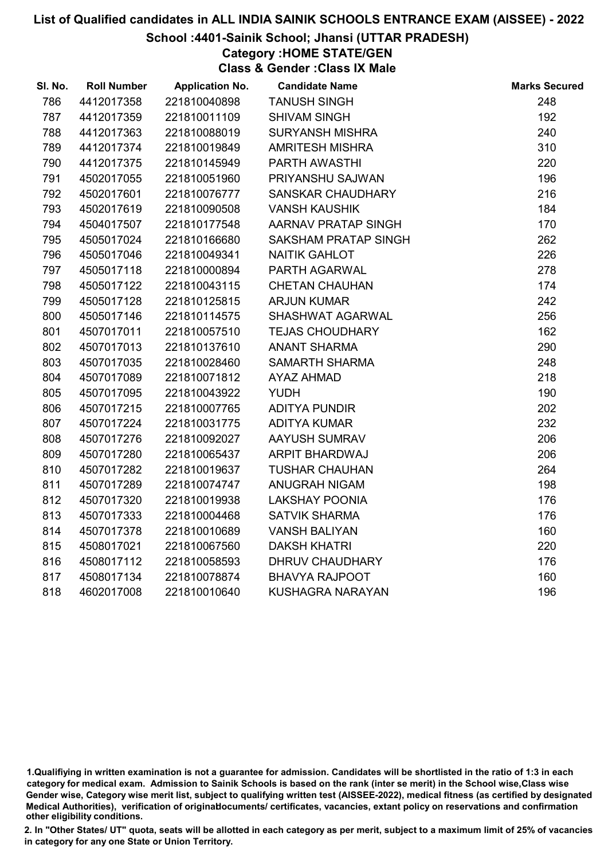#### School :4401-Sainik School; Jhansi (UTTAR PRADESH)

Category :HOME STATE/GEN

Class & Gender :Class IX Male

| SI. No. | <b>Roll Number</b> | <b>Application No.</b> | <b>Candidate Name</b>  | <b>Marks Secured</b> |
|---------|--------------------|------------------------|------------------------|----------------------|
| 786     | 4412017358         | 221810040898           | <b>TANUSH SINGH</b>    | 248                  |
| 787     | 4412017359         | 221810011109           | <b>SHIVAM SINGH</b>    | 192                  |
| 788     | 4412017363         | 221810088019           | <b>SURYANSH MISHRA</b> | 240                  |
| 789     | 4412017374         | 221810019849           | <b>AMRITESH MISHRA</b> | 310                  |
| 790     | 4412017375         | 221810145949           | PARTH AWASTHI          | 220                  |
| 791     | 4502017055         | 221810051960           | PRIYANSHU SAJWAN       | 196                  |
| 792     | 4502017601         | 221810076777           | SANSKAR CHAUDHARY      | 216                  |
| 793     | 4502017619         | 221810090508           | <b>VANSH KAUSHIK</b>   | 184                  |
| 794     | 4504017507         | 221810177548           | AARNAV PRATAP SINGH    | 170                  |
| 795     | 4505017024         | 221810166680           | SAKSHAM PRATAP SINGH   | 262                  |
| 796     | 4505017046         | 221810049341           | <b>NAITIK GAHLOT</b>   | 226                  |
| 797     | 4505017118         | 221810000894           | PARTH AGARWAL          | 278                  |
| 798     | 4505017122         | 221810043115           | <b>CHETAN CHAUHAN</b>  | 174                  |
| 799     | 4505017128         | 221810125815           | <b>ARJUN KUMAR</b>     | 242                  |
| 800     | 4505017146         | 221810114575           | SHASHWAT AGARWAL       | 256                  |
| 801     | 4507017011         | 221810057510           | <b>TEJAS CHOUDHARY</b> | 162                  |
| 802     | 4507017013         | 221810137610           | <b>ANANT SHARMA</b>    | 290                  |
| 803     | 4507017035         | 221810028460           | <b>SAMARTH SHARMA</b>  | 248                  |
| 804     | 4507017089         | 221810071812           | <b>AYAZ AHMAD</b>      | 218                  |
| 805     | 4507017095         | 221810043922           | <b>YUDH</b>            | 190                  |
| 806     | 4507017215         | 221810007765           | <b>ADITYA PUNDIR</b>   | 202                  |
| 807     | 4507017224         | 221810031775           | <b>ADITYA KUMAR</b>    | 232                  |
| 808     | 4507017276         | 221810092027           | AAYUSH SUMRAV          | 206                  |
| 809     | 4507017280         | 221810065437           | ARPIT BHARDWAJ         | 206                  |
| 810     | 4507017282         | 221810019637           | <b>TUSHAR CHAUHAN</b>  | 264                  |
| 811     | 4507017289         | 221810074747           | <b>ANUGRAH NIGAM</b>   | 198                  |
| 812     | 4507017320         | 221810019938           | <b>LAKSHAY POONIA</b>  | 176                  |
| 813     | 4507017333         | 221810004468           | <b>SATVIK SHARMA</b>   | 176                  |
| 814     | 4507017378         | 221810010689           | <b>VANSH BALIYAN</b>   | 160                  |
| 815     | 4508017021         | 221810067560           | <b>DAKSH KHATRI</b>    | 220                  |
| 816     | 4508017112         | 221810058593           | DHRUV CHAUDHARY        | 176                  |
| 817     | 4508017134         | 221810078874           | <b>BHAVYA RAJPOOT</b>  | 160                  |
| 818     | 4602017008         | 221810010640           | KUSHAGRA NARAYAN       | 196                  |

<sup>1.</sup>Qualifiying in written examination is not a guarantee for admission. Candidates will be shortlisted in the ratio of 1:3 in each category for medical exam. Admission to Sainik Schools is based on the rank (inter se merit) in the School wise,Class wise Gender wise, Category wise merit list, subject to qualifying written test (AISSEE-2022), medical fitness (as certified by designated Medical Authorities), verification of originablocuments/ certificates, vacancies, extant policy on reservations and confirmation other eligibility conditions.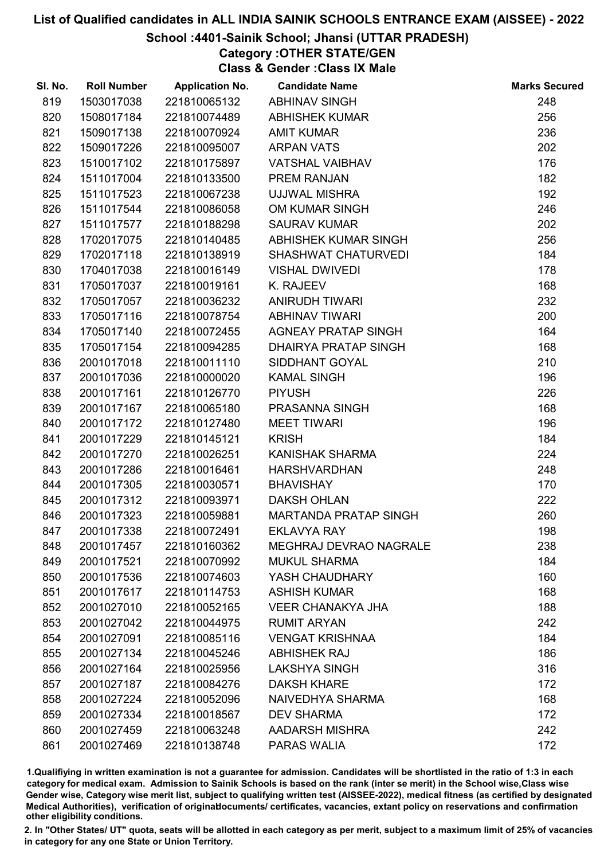## School :4401-Sainik School; Jhansi (UTTAR PRADESH)

# Category :OTHER STATE/GEN

Class & Gender :Class IX Male

| SI. No. | <b>Roll Number</b> | <b>Application No.</b> | <b>Candidate Name</b>        | <b>Marks Secured</b> |
|---------|--------------------|------------------------|------------------------------|----------------------|
| 819     | 1503017038         | 221810065132           | <b>ABHINAV SINGH</b>         | 248                  |
| 820     | 1508017184         | 221810074489           | <b>ABHISHEK KUMAR</b>        | 256                  |
| 821     | 1509017138         | 221810070924           | <b>AMIT KUMAR</b>            | 236                  |
| 822     | 1509017226         | 221810095007           | <b>ARPAN VATS</b>            | 202                  |
| 823     | 1510017102         | 221810175897           | <b>VATSHAL VAIBHAV</b>       | 176                  |
| 824     | 1511017004         | 221810133500           | <b>PREM RANJAN</b>           | 182                  |
| 825     | 1511017523         | 221810067238           | <b>UJJWAL MISHRA</b>         | 192                  |
| 826     | 1511017544         | 221810086058           | OM KUMAR SINGH               | 246                  |
| 827     | 1511017577         | 221810188298           | <b>SAURAV KUMAR</b>          | 202                  |
| 828     | 1702017075         | 221810140485           | ABHISHEK KUMAR SINGH         | 256                  |
| 829     | 1702017118         | 221810138919           | <b>SHASHWAT CHATURVEDI</b>   | 184                  |
| 830     | 1704017038         | 221810016149           | <b>VISHAL DWIVEDI</b>        | 178                  |
| 831     | 1705017037         | 221810019161           | K. RAJEEV                    | 168                  |
| 832     | 1705017057         | 221810036232           | <b>ANIRUDH TIWARI</b>        | 232                  |
| 833     | 1705017116         | 221810078754           | <b>ABHINAV TIWARI</b>        | 200                  |
| 834     | 1705017140         | 221810072455           | <b>AGNEAY PRATAP SINGH</b>   | 164                  |
| 835     | 1705017154         | 221810094285           | DHAIRYA PRATAP SINGH         | 168                  |
| 836     | 2001017018         | 221810011110           | SIDDHANT GOYAL               | 210                  |
| 837     | 2001017036         | 221810000020           | <b>KAMAL SINGH</b>           | 196                  |
| 838     | 2001017161         | 221810126770           | <b>PIYUSH</b>                | 226                  |
| 839     | 2001017167         | 221810065180           | PRASANNA SINGH               | 168                  |
| 840     | 2001017172         | 221810127480           | <b>MEET TIWARI</b>           | 196                  |
| 841     | 2001017229         | 221810145121           | <b>KRISH</b>                 | 184                  |
| 842     | 2001017270         | 221810026251           | KANISHAK SHARMA              | 224                  |
| 843     | 2001017286         | 221810016461           | <b>HARSHVARDHAN</b>          | 248                  |
| 844     | 2001017305         | 221810030571           | <b>BHAVISHAY</b>             | 170                  |
| 845     | 2001017312         | 221810093971           | <b>DAKSH OHLAN</b>           | 222                  |
| 846     | 2001017323         | 221810059881           | <b>MARTANDA PRATAP SINGH</b> | 260                  |
| 847     | 2001017338         | 221810072491           | <b>EKLAVYA RAY</b>           | 198                  |
| 848     | 2001017457         | 221810160362           | MEGHRAJ DEVRAO NAGRALE       | 238                  |
| 849     | 2001017521         | 221810070992           | <b>MUKUL SHARMA</b>          | 184                  |
| 850     | 2001017536         | 221810074603           | YASH CHAUDHARY               | 160                  |
| 851     | 2001017617         | 221810114753           | <b>ASHISH KUMAR</b>          | 168                  |
| 852     | 2001027010         | 221810052165           | <b>VEER CHANAKYA JHA</b>     | 188                  |
| 853     | 2001027042         | 221810044975           | <b>RUMIT ARYAN</b>           | 242                  |
| 854     | 2001027091         | 221810085116           | <b>VENGAT KRISHNAA</b>       | 184                  |
| 855     | 2001027134         | 221810045246           | <b>ABHISHEK RAJ</b>          | 186                  |
| 856     | 2001027164         | 221810025956           | <b>LAKSHYA SINGH</b>         | 316                  |
| 857     | 2001027187         | 221810084276           | <b>DAKSH KHARE</b>           | 172                  |
| 858     | 2001027224         | 221810052096           | NAIVEDHYA SHARMA             | 168                  |
| 859     | 2001027334         | 221810018567           | <b>DEV SHARMA</b>            | 172                  |
| 860     | 2001027459         | 221810063248           | <b>AADARSH MISHRA</b>        | 242                  |
| 861     | 2001027469         | 221810138748           | <b>PARAS WALIA</b>           | 172                  |

1.Qualifiying in written examination is not a guarantee for admission. Candidates will be shortlisted in the ratio of 1:3 in each category for medical exam. Admission to Sainik Schools is based on the rank (inter se merit) in the School wise,Class wise Gender wise, Category wise merit list, subject to qualifying written test (AISSEE-2022), medical fitness (as certified by designated Medical Authorities), verification of originablocuments/ certificates, vacancies, extant policy on reservations and confirmation other eligibility conditions.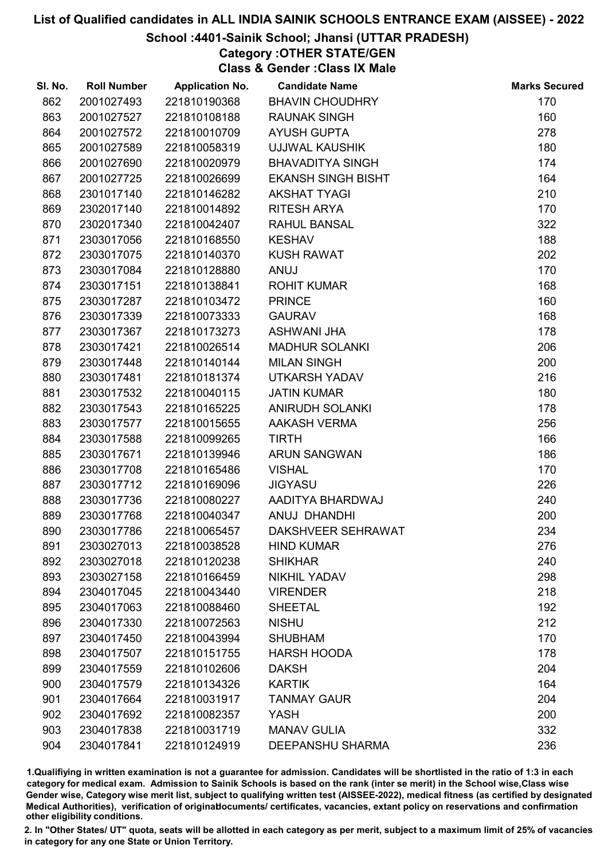# School :4401-Sainik School; Jhansi (UTTAR PRADESH)

# Category :OTHER STATE/GEN

Class & Gender :Class IX Male

| SI. No. | <b>Roll Number</b> | <b>Application No.</b> | <b>Candidate Name</b>     | <b>Marks Secured</b> |
|---------|--------------------|------------------------|---------------------------|----------------------|
| 862     | 2001027493         | 221810190368           | <b>BHAVIN CHOUDHRY</b>    | 170                  |
| 863     | 2001027527         | 221810108188           | <b>RAUNAK SINGH</b>       | 160                  |
| 864     | 2001027572         | 221810010709           | <b>AYUSH GUPTA</b>        | 278                  |
| 865     | 2001027589         | 221810058319           | <b>UJJWAL KAUSHIK</b>     | 180                  |
| 866     | 2001027690         | 221810020979           | <b>BHAVADITYA SINGH</b>   | 174                  |
| 867     | 2001027725         | 221810026699           | <b>EKANSH SINGH BISHT</b> | 164                  |
| 868     | 2301017140         | 221810146282           | <b>AKSHAT TYAGI</b>       | 210                  |
| 869     | 2302017140         | 221810014892           | <b>RITESH ARYA</b>        | 170                  |
| 870     | 2302017340         | 221810042407           | <b>RAHUL BANSAL</b>       | 322                  |
| 871     | 2303017056         | 221810168550           | <b>KESHAV</b>             | 188                  |
| 872     | 2303017075         | 221810140370           | <b>KUSH RAWAT</b>         | 202                  |
| 873     | 2303017084         | 221810128880           | <b>ANUJ</b>               | 170                  |
| 874     | 2303017151         | 221810138841           | <b>ROHIT KUMAR</b>        | 168                  |
| 875     | 2303017287         | 221810103472           | <b>PRINCE</b>             | 160                  |
| 876     | 2303017339         | 221810073333           | <b>GAURAV</b>             | 168                  |
| 877     | 2303017367         | 221810173273           | ASHWANI JHA               | 178                  |
| 878     | 2303017421         | 221810026514           | <b>MADHUR SOLANKI</b>     | 206                  |
| 879     | 2303017448         | 221810140144           | <b>MILAN SINGH</b>        | 200                  |
| 880     | 2303017481         | 221810181374           | <b>UTKARSH YADAV</b>      | 216                  |
| 881     | 2303017532         | 221810040115           | <b>JATIN KUMAR</b>        | 180                  |
| 882     | 2303017543         | 221810165225           | <b>ANIRUDH SOLANKI</b>    | 178                  |
| 883     | 2303017577         | 221810015655           | <b>AAKASH VERMA</b>       | 256                  |
| 884     | 2303017588         | 221810099265           | <b>TIRTH</b>              | 166                  |
| 885     | 2303017671         | 221810139946           | <b>ARUN SANGWAN</b>       | 186                  |
| 886     | 2303017708         | 221810165486           | <b>VISHAL</b>             | 170                  |
| 887     | 2303017712         | 221810169096           | <b>JIGYASU</b>            | 226                  |
| 888     | 2303017736         | 221810080227           | AADITYA BHARDWAJ          | 240                  |
| 889     | 2303017768         | 221810040347           | ANUJ DHANDHI              | 200                  |
| 890     | 2303017786         | 221810065457           | DAKSHVEER SEHRAWAT        | 234                  |
| 891     | 2303027013         | 221810038528           | <b>HIND KUMAR</b>         | 276                  |
| 892     | 2303027018         | 221810120238           | <b>SHIKHAR</b>            | 240                  |
| 893     | 2303027158         | 221810166459           | <b>NIKHIL YADAV</b>       | 298                  |
| 894     | 2304017045         | 221810043440           | <b>VIRENDER</b>           | 218                  |
| 895     | 2304017063         | 221810088460           | <b>SHEETAL</b>            | 192                  |
| 896     | 2304017330         | 221810072563           | <b>NISHU</b>              | 212                  |
| 897     | 2304017450         | 221810043994           | <b>SHUBHAM</b>            | 170                  |
| 898     | 2304017507         | 221810151755           | <b>HARSH HOODA</b>        | 178                  |
| 899     | 2304017559         | 221810102606           | <b>DAKSH</b>              | 204                  |
| 900     | 2304017579         | 221810134326           | <b>KARTIK</b>             | 164                  |
| 901     | 2304017664         | 221810031917           | <b>TANMAY GAUR</b>        | 204                  |
| 902     | 2304017692         | 221810082357           | <b>YASH</b>               | 200                  |
| 903     | 2304017838         | 221810031719           | <b>MANAV GULIA</b>        | 332                  |
| 904     | 2304017841         | 221810124919           | <b>DEEPANSHU SHARMA</b>   | 236                  |

1.Qualifiying in written examination is not a guarantee for admission. Candidates will be shortlisted in the ratio of 1:3 in each category for medical exam. Admission to Sainik Schools is based on the rank (inter se merit) in the School wise,Class wise Gender wise, Category wise merit list, subject to qualifying written test (AISSEE-2022), medical fitness (as certified by designated Medical Authorities), verification of originablocuments/ certificates, vacancies, extant policy on reservations and confirmation other eligibility conditions.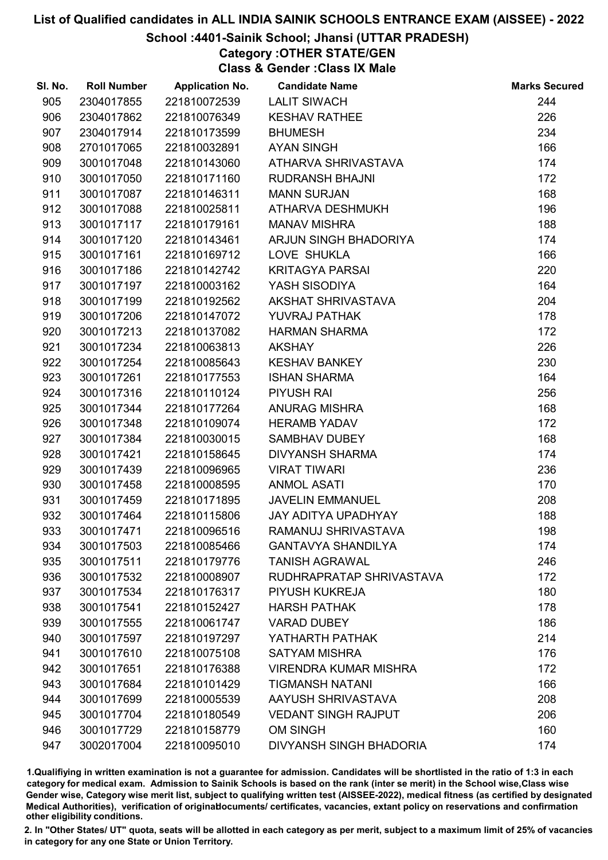#### School :4401-Sainik School; Jhansi (UTTAR PRADESH)

# Category :OTHER STATE/GEN

Class & Gender :Class IX Male

| SI. No. | <b>Roll Number</b> | <b>Application No.</b> | <b>Candidate Name</b>        | <b>Marks Secured</b> |
|---------|--------------------|------------------------|------------------------------|----------------------|
| 905     | 2304017855         | 221810072539           | <b>LALIT SIWACH</b>          | 244                  |
| 906     | 2304017862         | 221810076349           | <b>KESHAV RATHEE</b>         | 226                  |
| 907     | 2304017914         | 221810173599           | <b>BHUMESH</b>               | 234                  |
| 908     | 2701017065         | 221810032891           | <b>AYAN SINGH</b>            | 166                  |
| 909     | 3001017048         | 221810143060           | ATHARVA SHRIVASTAVA          | 174                  |
| 910     | 3001017050         | 221810171160           | <b>RUDRANSH BHAJNI</b>       | 172                  |
| 911     | 3001017087         | 221810146311           | <b>MANN SURJAN</b>           | 168                  |
| 912     | 3001017088         | 221810025811           | ATHARVA DESHMUKH             | 196                  |
| 913     | 3001017117         | 221810179161           | <b>MANAV MISHRA</b>          | 188                  |
| 914     | 3001017120         | 221810143461           | ARJUN SINGH BHADORIYA        | 174                  |
| 915     | 3001017161         | 221810169712           | LOVE SHUKLA                  | 166                  |
| 916     | 3001017186         | 221810142742           | <b>KRITAGYA PARSAI</b>       | 220                  |
| 917     | 3001017197         | 221810003162           | YASH SISODIYA                | 164                  |
| 918     | 3001017199         | 221810192562           | AKSHAT SHRIVASTAVA           | 204                  |
| 919     | 3001017206         | 221810147072           | <b>YUVRAJ PATHAK</b>         | 178                  |
| 920     | 3001017213         | 221810137082           | <b>HARMAN SHARMA</b>         | 172                  |
| 921     | 3001017234         | 221810063813           | <b>AKSHAY</b>                | 226                  |
| 922     | 3001017254         | 221810085643           | <b>KESHAV BANKEY</b>         | 230                  |
| 923     | 3001017261         | 221810177553           | <b>ISHAN SHARMA</b>          | 164                  |
| 924     | 3001017316         | 221810110124           | <b>PIYUSH RAI</b>            | 256                  |
| 925     | 3001017344         | 221810177264           | <b>ANURAG MISHRA</b>         | 168                  |
| 926     | 3001017348         | 221810109074           | <b>HERAMB YADAV</b>          | 172                  |
| 927     | 3001017384         | 221810030015           | SAMBHAV DUBEY                | 168                  |
| 928     | 3001017421         | 221810158645           | <b>DIVYANSH SHARMA</b>       | 174                  |
| 929     | 3001017439         | 221810096965           | <b>VIRAT TIWARI</b>          | 236                  |
| 930     | 3001017458         | 221810008595           | <b>ANMOL ASATI</b>           | 170                  |
| 931     | 3001017459         | 221810171895           | <b>JAVELIN EMMANUEL</b>      | 208                  |
| 932     | 3001017464         | 221810115806           | JAY ADITYA UPADHYAY          | 188                  |
| 933     | 3001017471         | 221810096516           | RAMANUJ SHRIVASTAVA          | 198                  |
| 934     | 3001017503         | 221810085466           | <b>GANTAVYA SHANDILYA</b>    | 174                  |
| 935     | 3001017511         | 221810179776           | <b>TANISH AGRAWAL</b>        | 246                  |
| 936     | 3001017532         | 221810008907           | RUDHRAPRATAP SHRIVASTAVA     | 172                  |
| 937     | 3001017534         | 221810176317           | PIYUSH KUKREJA               | 180                  |
| 938     | 3001017541         | 221810152427           | <b>HARSH PATHAK</b>          | 178                  |
| 939     | 3001017555         | 221810061747           | <b>VARAD DUBEY</b>           | 186                  |
| 940     | 3001017597         | 221810197297           | YATHARTH PATHAK              | 214                  |
| 941     | 3001017610         | 221810075108           | <b>SATYAM MISHRA</b>         | 176                  |
| 942     | 3001017651         | 221810176388           | <b>VIRENDRA KUMAR MISHRA</b> | 172                  |
| 943     | 3001017684         | 221810101429           | <b>TIGMANSH NATANI</b>       | 166                  |
| 944     | 3001017699         | 221810005539           | AAYUSH SHRIVASTAVA           | 208                  |
| 945     | 3001017704         | 221810180549           | <b>VEDANT SINGH RAJPUT</b>   | 206                  |
| 946     | 3001017729         | 221810158779           | <b>OM SINGH</b>              | 160                  |
| 947     | 3002017004         | 221810095010           | DIVYANSH SINGH BHADORIA      | 174                  |

1.Qualifiying in written examination is not a guarantee for admission. Candidates will be shortlisted in the ratio of 1:3 in each category for medical exam. Admission to Sainik Schools is based on the rank (inter se merit) in the School wise,Class wise Gender wise, Category wise merit list, subject to qualifying written test (AISSEE-2022), medical fitness (as certified by designated Medical Authorities), verification of originablocuments/ certificates, vacancies, extant policy on reservations and confirmation other eligibility conditions.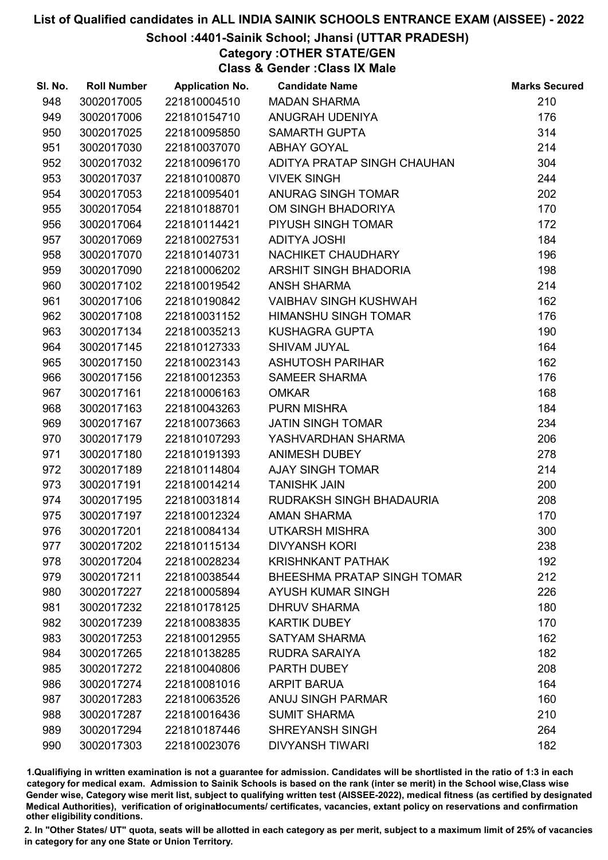## School :4401-Sainik School; Jhansi (UTTAR PRADESH)

Category :OTHER STATE/GEN

Class & Gender :Class IX Male

| SI. No. | <b>Roll Number</b> | <b>Application No.</b> | <b>Candidate Name</b>        | <b>Marks Secured</b> |
|---------|--------------------|------------------------|------------------------------|----------------------|
| 948     | 3002017005         | 221810004510           | <b>MADAN SHARMA</b>          | 210                  |
| 949     | 3002017006         | 221810154710           | ANUGRAH UDENIYA              | 176                  |
| 950     | 3002017025         | 221810095850           | <b>SAMARTH GUPTA</b>         | 314                  |
| 951     | 3002017030         | 221810037070           | <b>ABHAY GOYAL</b>           | 214                  |
| 952     | 3002017032         | 221810096170           | ADITYA PRATAP SINGH CHAUHAN  | 304                  |
| 953     | 3002017037         | 221810100870           | <b>VIVEK SINGH</b>           | 244                  |
| 954     | 3002017053         | 221810095401           | ANURAG SINGH TOMAR           | 202                  |
| 955     | 3002017054         | 221810188701           | OM SINGH BHADORIYA           | 170                  |
| 956     | 3002017064         | 221810114421           | PIYUSH SINGH TOMAR           | 172                  |
| 957     | 3002017069         | 221810027531           | <b>ADITYA JOSHI</b>          | 184                  |
| 958     | 3002017070         | 221810140731           | NACHIKET CHAUDHARY           | 196                  |
| 959     | 3002017090         | 221810006202           | ARSHIT SINGH BHADORIA        | 198                  |
| 960     | 3002017102         | 221810019542           | <b>ANSH SHARMA</b>           | 214                  |
| 961     | 3002017106         | 221810190842           | <b>VAIBHAV SINGH KUSHWAH</b> | 162                  |
| 962     | 3002017108         | 221810031152           | <b>HIMANSHU SINGH TOMAR</b>  | 176                  |
| 963     | 3002017134         | 221810035213           | <b>KUSHAGRA GUPTA</b>        | 190                  |
| 964     | 3002017145         | 221810127333           | <b>SHIVAM JUYAL</b>          | 164                  |
| 965     | 3002017150         | 221810023143           | <b>ASHUTOSH PARIHAR</b>      | 162                  |
| 966     | 3002017156         | 221810012353           | <b>SAMEER SHARMA</b>         | 176                  |
| 967     | 3002017161         | 221810006163           | <b>OMKAR</b>                 | 168                  |
| 968     | 3002017163         | 221810043263           | <b>PURN MISHRA</b>           | 184                  |
| 969     | 3002017167         | 221810073663           | <b>JATIN SINGH TOMAR</b>     | 234                  |
| 970     | 3002017179         | 221810107293           | YASHVARDHAN SHARMA           | 206                  |
| 971     | 3002017180         | 221810191393           | ANIMESH DUBEY                | 278                  |
| 972     | 3002017189         | 221810114804           | <b>AJAY SINGH TOMAR</b>      | 214                  |
| 973     | 3002017191         | 221810014214           | <b>TANISHK JAIN</b>          | 200                  |
| 974     | 3002017195         | 221810031814           | RUDRAKSH SINGH BHADAURIA     | 208                  |
| 975     | 3002017197         | 221810012324           | <b>AMAN SHARMA</b>           | 170                  |
| 976     | 3002017201         | 221810084134           | <b>UTKARSH MISHRA</b>        | 300                  |
| 977     | 3002017202         | 221810115134           | <b>DIVYANSH KORI</b>         | 238                  |
| 978     | 3002017204         | 221810028234           | <b>KRISHNKANT PATHAK</b>     | 192                  |
| 979     | 3002017211         | 221810038544           | BHEESHMA PRATAP SINGH TOMAR  | 212                  |
| 980     | 3002017227         | 221810005894           | <b>AYUSH KUMAR SINGH</b>     | 226                  |
| 981     | 3002017232         | 221810178125           | <b>DHRUV SHARMA</b>          | 180                  |
| 982     | 3002017239         | 221810083835           | <b>KARTIK DUBEY</b>          | 170                  |
| 983     | 3002017253         | 221810012955           | <b>SATYAM SHARMA</b>         | 162                  |
| 984     | 3002017265         | 221810138285           | RUDRA SARAIYA                | 182                  |
| 985     | 3002017272         | 221810040806           | PARTH DUBEY                  | 208                  |
| 986     | 3002017274         | 221810081016           | <b>ARPIT BARUA</b>           | 164                  |
| 987     | 3002017283         | 221810063526           | <b>ANUJ SINGH PARMAR</b>     | 160                  |
| 988     | 3002017287         | 221810016436           | <b>SUMIT SHARMA</b>          | 210                  |
| 989     | 3002017294         | 221810187446           | <b>SHREYANSH SINGH</b>       | 264                  |
| 990     | 3002017303         | 221810023076           | <b>DIVYANSH TIWARI</b>       | 182                  |

1.Qualifiying in written examination is not a guarantee for admission. Candidates will be shortlisted in the ratio of 1:3 in each category for medical exam. Admission to Sainik Schools is based on the rank (inter se merit) in the School wise,Class wise Gender wise, Category wise merit list, subject to qualifying written test (AISSEE-2022), medical fitness (as certified by designated Medical Authorities), verification of originablocuments/ certificates, vacancies, extant policy on reservations and confirmation other eligibility conditions.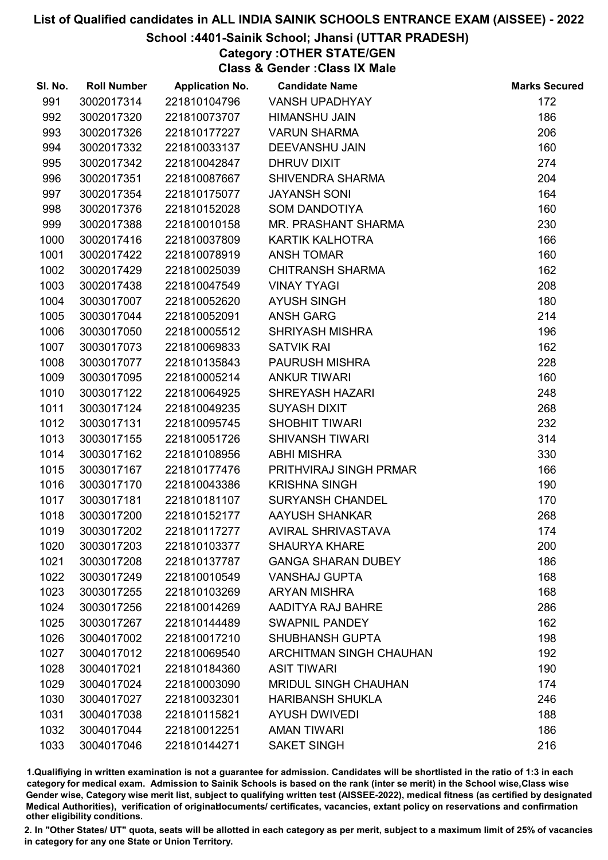## School :4401-Sainik School; Jhansi (UTTAR PRADESH)

Category :OTHER STATE/GEN

Class & Gender :Class IX Male

| SI. No. | <b>Roll Number</b> | <b>Application No.</b> | <b>Candidate Name</b>       | <b>Marks Secured</b> |
|---------|--------------------|------------------------|-----------------------------|----------------------|
| 991     | 3002017314         | 221810104796           | <b>VANSH UPADHYAY</b>       | 172                  |
| 992     | 3002017320         | 221810073707           | HIMANSHU JAIN               | 186                  |
| 993     | 3002017326         | 221810177227           | <b>VARUN SHARMA</b>         | 206                  |
| 994     | 3002017332         | 221810033137           | <b>DEEVANSHU JAIN</b>       | 160                  |
| 995     | 3002017342         | 221810042847           | DHRUV DIXIT                 | 274                  |
| 996     | 3002017351         | 221810087667           | <b>SHIVENDRA SHARMA</b>     | 204                  |
| 997     | 3002017354         | 221810175077           | <b>JAYANSH SONI</b>         | 164                  |
| 998     | 3002017376         | 221810152028           | <b>SOM DANDOTIYA</b>        | 160                  |
| 999     | 3002017388         | 221810010158           | MR. PRASHANT SHARMA         | 230                  |
| 1000    | 3002017416         | 221810037809           | KARTIK KALHOTRA             | 166                  |
| 1001    | 3002017422         | 221810078919           | <b>ANSH TOMAR</b>           | 160                  |
| 1002    | 3002017429         | 221810025039           | <b>CHITRANSH SHARMA</b>     | 162                  |
| 1003    | 3002017438         | 221810047549           | <b>VINAY TYAGI</b>          | 208                  |
| 1004    | 3003017007         | 221810052620           | <b>AYUSH SINGH</b>          | 180                  |
| 1005    | 3003017044         | 221810052091           | <b>ANSH GARG</b>            | 214                  |
| 1006    | 3003017050         | 221810005512           | <b>SHRIYASH MISHRA</b>      | 196                  |
| 1007    | 3003017073         | 221810069833           | <b>SATVIK RAI</b>           | 162                  |
| 1008    | 3003017077         | 221810135843           | <b>PAURUSH MISHRA</b>       | 228                  |
| 1009    | 3003017095         | 221810005214           | <b>ANKUR TIWARI</b>         | 160                  |
| 1010    | 3003017122         | 221810064925           | <b>SHREYASH HAZARI</b>      | 248                  |
| 1011    | 3003017124         | 221810049235           | <b>SUYASH DIXIT</b>         | 268                  |
| 1012    | 3003017131         | 221810095745           | <b>SHOBHIT TIWARI</b>       | 232                  |
| 1013    | 3003017155         | 221810051726           | <b>SHIVANSH TIWARI</b>      | 314                  |
| 1014    | 3003017162         | 221810108956           | <b>ABHI MISHRA</b>          | 330                  |
| 1015    | 3003017167         | 221810177476           | PRITHVIRAJ SINGH PRMAR      | 166                  |
| 1016    | 3003017170         | 221810043386           | <b>KRISHNA SINGH</b>        | 190                  |
| 1017    | 3003017181         | 221810181107           | <b>SURYANSH CHANDEL</b>     | 170                  |
| 1018    | 3003017200         | 221810152177           | AAYUSH SHANKAR              | 268                  |
| 1019    | 3003017202         | 221810117277           | <b>AVIRAL SHRIVASTAVA</b>   | 174                  |
| 1020    | 3003017203         | 221810103377           | <b>SHAURYA KHARE</b>        | 200                  |
| 1021    | 3003017208         | 221810137787           | <b>GANGA SHARAN DUBEY</b>   | 186                  |
| 1022    | 3003017249         | 221810010549           | <b>VANSHAJ GUPTA</b>        | 168                  |
| 1023    | 3003017255         | 221810103269           | <b>ARYAN MISHRA</b>         | 168                  |
| 1024    | 3003017256         | 221810014269           | <b>AADITYA RAJ BAHRE</b>    | 286                  |
| 1025    | 3003017267         | 221810144489           | <b>SWAPNIL PANDEY</b>       | 162                  |
| 1026    | 3004017002         | 221810017210           | <b>SHUBHANSH GUPTA</b>      | 198                  |
| 1027    | 3004017012         | 221810069540           | ARCHITMAN SINGH CHAUHAN     | 192                  |
| 1028    | 3004017021         | 221810184360           | <b>ASIT TIWARI</b>          | 190                  |
| 1029    | 3004017024         | 221810003090           | <b>MRIDUL SINGH CHAUHAN</b> | 174                  |
| 1030    | 3004017027         | 221810032301           | <b>HARIBANSH SHUKLA</b>     | 246                  |
| 1031    | 3004017038         | 221810115821           | <b>AYUSH DWIVEDI</b>        | 188                  |
| 1032    | 3004017044         | 221810012251           | <b>AMAN TIWARI</b>          | 186                  |
| 1033    | 3004017046         | 221810144271           | <b>SAKET SINGH</b>          | 216                  |

1.Qualifiying in written examination is not a guarantee for admission. Candidates will be shortlisted in the ratio of 1:3 in each category for medical exam. Admission to Sainik Schools is based on the rank (inter se merit) in the School wise,Class wise Gender wise, Category wise merit list, subject to qualifying written test (AISSEE-2022), medical fitness (as certified by designated Medical Authorities), verification of originablocuments/ certificates, vacancies, extant policy on reservations and confirmation other eligibility conditions.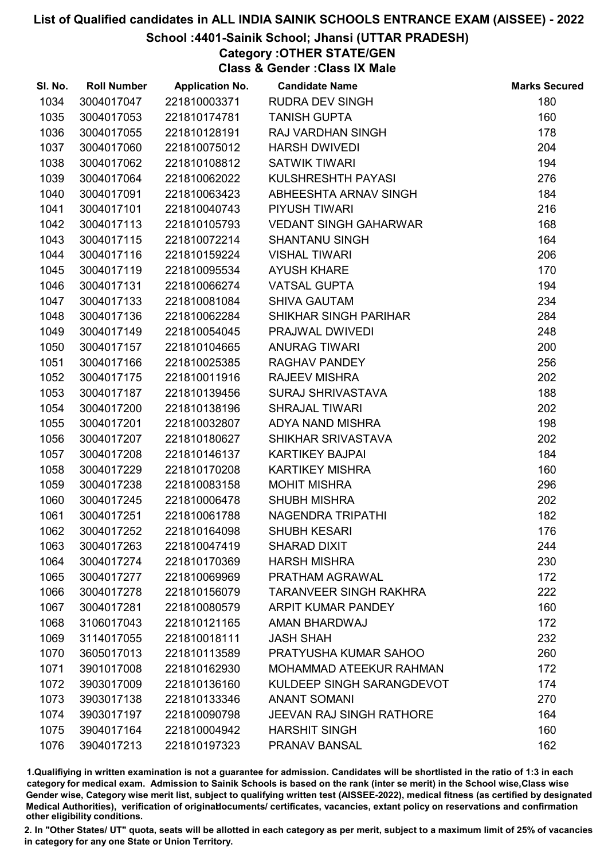# School :4401-Sainik School; Jhansi (UTTAR PRADESH)

Category :OTHER STATE/GEN

Class & Gender :Class IX Male

| SI. No. | <b>Roll Number</b> | <b>Application No.</b> | <b>Candidate Name</b>           | <b>Marks Secured</b> |
|---------|--------------------|------------------------|---------------------------------|----------------------|
| 1034    | 3004017047         | 221810003371           | <b>RUDRA DEV SINGH</b>          | 180                  |
| 1035    | 3004017053         | 221810174781           | <b>TANISH GUPTA</b>             | 160                  |
| 1036    | 3004017055         | 221810128191           | RAJ VARDHAN SINGH               | 178                  |
| 1037    | 3004017060         | 221810075012           | <b>HARSH DWIVEDI</b>            | 204                  |
| 1038    | 3004017062         | 221810108812           | <b>SATWIK TIWARI</b>            | 194                  |
| 1039    | 3004017064         | 221810062022           | KULSHRESHTH PAYASI              | 276                  |
| 1040    | 3004017091         | 221810063423           | ABHEESHTA ARNAV SINGH           | 184                  |
| 1041    | 3004017101         | 221810040743           | <b>PIYUSH TIWARI</b>            | 216                  |
| 1042    | 3004017113         | 221810105793           | <b>VEDANT SINGH GAHARWAR</b>    | 168                  |
| 1043    | 3004017115         | 221810072214           | <b>SHANTANU SINGH</b>           | 164                  |
| 1044    | 3004017116         | 221810159224           | <b>VISHAL TIWARI</b>            | 206                  |
| 1045    | 3004017119         | 221810095534           | <b>AYUSH KHARE</b>              | 170                  |
| 1046    | 3004017131         | 221810066274           | <b>VATSAL GUPTA</b>             | 194                  |
| 1047    | 3004017133         | 221810081084           | <b>SHIVA GAUTAM</b>             | 234                  |
| 1048    | 3004017136         | 221810062284           | SHIKHAR SINGH PARIHAR           | 284                  |
| 1049    | 3004017149         | 221810054045           | PRAJWAL DWIVEDI                 | 248                  |
| 1050    | 3004017157         | 221810104665           | <b>ANURAG TIWARI</b>            | 200                  |
| 1051    | 3004017166         | 221810025385           | <b>RAGHAV PANDEY</b>            | 256                  |
| 1052    | 3004017175         | 221810011916           | <b>RAJEEV MISHRA</b>            | 202                  |
| 1053    | 3004017187         | 221810139456           | <b>SURAJ SHRIVASTAVA</b>        | 188                  |
| 1054    | 3004017200         | 221810138196           | <b>SHRAJAL TIWARI</b>           | 202                  |
| 1055    | 3004017201         | 221810032807           | ADYA NAND MISHRA                | 198                  |
| 1056    | 3004017207         | 221810180627           | SHIKHAR SRIVASTAVA              | 202                  |
| 1057    | 3004017208         | 221810146137           | <b>KARTIKEY BAJPAI</b>          | 184                  |
| 1058    | 3004017229         | 221810170208           | <b>KARTIKEY MISHRA</b>          | 160                  |
| 1059    | 3004017238         | 221810083158           | <b>MOHIT MISHRA</b>             | 296                  |
| 1060    | 3004017245         | 221810006478           | <b>SHUBH MISHRA</b>             | 202                  |
| 1061    | 3004017251         | 221810061788           | NAGENDRA TRIPATHI               | 182                  |
| 1062    | 3004017252         | 221810164098           | <b>SHUBH KESARI</b>             | 176                  |
| 1063    | 3004017263         | 221810047419           | <b>SHARAD DIXIT</b>             | 244                  |
| 1064    | 3004017274         | 221810170369           | <b>HARSH MISHRA</b>             | 230                  |
| 1065    | 3004017277         | 221810069969           | PRATHAM AGRAWAL                 | 172                  |
| 1066    | 3004017278         | 221810156079           | <b>TARANVEER SINGH RAKHRA</b>   | 222                  |
| 1067    | 3004017281         | 221810080579           | <b>ARPIT KUMAR PANDEY</b>       | 160                  |
| 1068    | 3106017043         | 221810121165           | AMAN BHARDWAJ                   | 172                  |
| 1069    | 3114017055         | 221810018111           | <b>JASH SHAH</b>                | 232                  |
| 1070    | 3605017013         | 221810113589           | PRATYUSHA KUMAR SAHOO           | 260                  |
| 1071    | 3901017008         | 221810162930           | <b>MOHAMMAD ATEEKUR RAHMAN</b>  | 172                  |
| 1072    | 3903017009         | 221810136160           | KULDEEP SINGH SARANGDEVOT       | 174                  |
| 1073    | 3903017138         | 221810133346           | <b>ANANT SOMANI</b>             | 270                  |
| 1074    | 3903017197         | 221810090798           | <b>JEEVAN RAJ SINGH RATHORE</b> | 164                  |
| 1075    | 3904017164         | 221810004942           | <b>HARSHIT SINGH</b>            | 160                  |
| 1076    | 3904017213         | 221810197323           | PRANAV BANSAL                   | 162                  |

1.Qualifiying in written examination is not a guarantee for admission. Candidates will be shortlisted in the ratio of 1:3 in each category for medical exam. Admission to Sainik Schools is based on the rank (inter se merit) in the School wise,Class wise Gender wise, Category wise merit list, subject to qualifying written test (AISSEE-2022), medical fitness (as certified by designated Medical Authorities), verification of originablocuments/ certificates, vacancies, extant policy on reservations and confirmation other eligibility conditions.